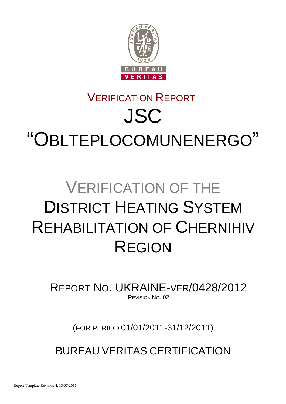

# VERIFICATION REPORT JSC "OBLTEPLOCOMUNENERGO"

# VERIFICATION OF THE DISTRICT HEATING SYSTEM REHABILITATION OF CHERNIHIV REGION

REPORT NO. UKRAINE-VER/0428/2012 REVISION NO. 02

(FOR PERIOD 01/01/2011-31/12/2011)

BUREAU VERITAS CERTIFICATION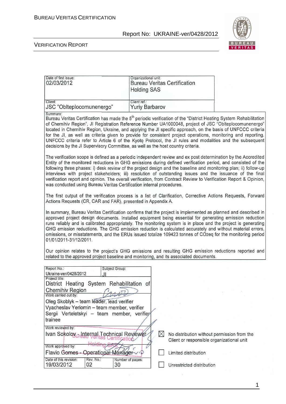

#### VERIFICATION REPORT

| Date of first issue:<br>02/03/2012   | Organizational unit:<br><b>Bureau Veritas Certification</b><br><b>Holding SAS</b> |  |  |
|--------------------------------------|-----------------------------------------------------------------------------------|--|--|
| Client:<br>JSC "Oblteplocomunenergo" | Client ref.:<br><b>Yuriy Barbarov</b>                                             |  |  |
| Summary:                             |                                                                                   |  |  |

Bureau Veritas Certification has made the 5<sup>th</sup> periodic verification of the "District Heating System Rehabilitation of Chernihiv Region", JI Registration Reference Number UA1000048, project of JSC "Oblteplocomunenergo" located in Chernihiv Region, Ukraine, and applying the JI specific approach, on the basis of UNFCCC criteria for the JI, as well as criteria given to provide for consistent project operations, monitoring and reporting. UNFCCC criteria refer to Article 6 of the Kyoto Protocol, the JI rules and modalities and the subsequent decisions by the JI Supervisory Committee, as well as the host country criteria.

The verification scope is defined as a periodic independent review and ex post determination by the Accredited Entity of the monitored reductions in GHG emissions during defined verification period, and consisted of the following three phases: i) desk review of the project design and the baseline and monitoring plan; ii) follow-up interviews with project stakeholders; iii) resolution of outstanding issues and the issuance of the final verification report and opinion. The overall verification, from Contract Review to Verification Report & Opinion, was conducted using Bureau Veritas Certification internal procedures.

The first output of the verification process is a list of Clarification, Corrective Actions Requests, Forward Actions Requests (CR, CAR and FAR), presented in Appendix A.

In summary, Bureau Veritas Certification confirms that the project is implemented as planned and described in approved project design documents. Installed equipment being essential for generating emission reduction runs reliably and is calibrated appropriately. The monitoring system is in place and the project is generating GHG emission reductions. The GHG emission reduction is calculated accurately and without material errors. omissions, or misstatements, and the ERUs issued totalize 109423 tonnes of CO2eg for the monitoring period 01/01/2011-31/12/2011.

Our opinion relates to the project's GHG emissions and resulting GHG emission reductions reported and related to the approved project baseline and monitoring, and its associated documents.

| Report No.:                                            | Subject Group:   |                                             |  |
|--------------------------------------------------------|------------------|---------------------------------------------|--|
| Ukraine-ver/0428/2012                                  |                  |                                             |  |
| Project title:                                         |                  |                                             |  |
| District Heating System Rehabilitation of              |                  |                                             |  |
| <b>Chernihiv Region</b>                                |                  |                                             |  |
| Work carried out by:                                   |                  |                                             |  |
| Oleg Skoblyk - team leader, lead verifier              |                  |                                             |  |
| Vyacheslav Yeriomin - team member, verifier            |                  |                                             |  |
| Sergii Verteletskyi - team member, verifier            |                  |                                             |  |
| trainee                                                |                  |                                             |  |
| Work reviewed by:                                      |                  |                                             |  |
| Ivan Sokoloy <sub>ur</sub> Internal Technical Reviewer |                  | No distribution without permission from the |  |
|                                                        |                  | Client or responsible organizational unit   |  |
| Work approved by:                                      |                  |                                             |  |
| Flavio Gomes - Operational Mánager v D                 |                  | Limited distribution                        |  |
| Date of this revision:<br>Rev. No.:                    | Number of pages: |                                             |  |
| 19/03/2012<br>02                                       | 30               | Unrestricted distribution                   |  |

1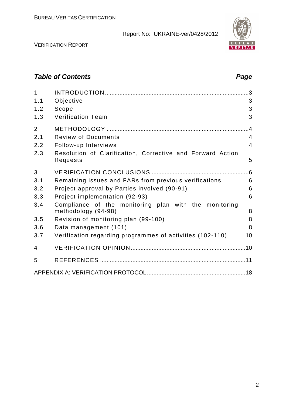

VERIFICATION REPORT

## **Table of Contents Page 2018**

| $\overline{1}$ |                                                                              | $\cdot$ 3      |
|----------------|------------------------------------------------------------------------------|----------------|
| 1.1            | Objective                                                                    | 3              |
| 1.2            | Scope                                                                        | 3              |
| 1.3            | <b>Verification Team</b>                                                     | 3              |
| $\overline{2}$ |                                                                              | .4             |
| 2.1            | <b>Review of Documents</b>                                                   | $\overline{4}$ |
| 2.2            | Follow-up Interviews                                                         | $\overline{4}$ |
| 2.3            | Resolution of Clarification, Corrective and Forward Action<br>Requests       | 5              |
| 3              |                                                                              | .6             |
| 3.1            | Remaining issues and FARs from previous verifications                        | 6              |
| 3.2            | Project approval by Parties involved (90-91)                                 | 6              |
| 3.3            | Project implementation (92-93)                                               | 6              |
| 3.4            | Compliance of the monitoring plan with the monitoring<br>methodology (94-98) | 8              |
| 3.5            | Revision of monitoring plan (99-100)                                         | 8              |
| 3.6            | Data management (101)                                                        | 8              |
| 3.7            | Verification regarding programmes of activities (102-110)                    | 10             |
| 4              |                                                                              |                |
| 5              |                                                                              |                |
|                |                                                                              |                |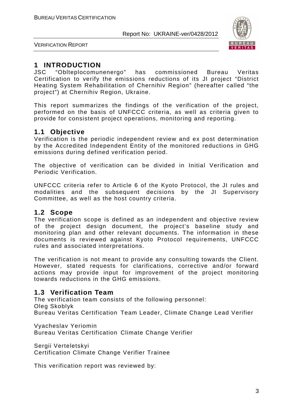

VERIFICATION REPORT

## **1 INTRODUCTION**

JSC "Oblteplocomunenergo" has commissioned Bureau Veritas Certification to verify the emissions reductions of its JI project "District Heating System Rehabilitation of Chernihiv Region" (hereafter called "the project") at Chernihiv Region, Ukraine.

This report summarizes the findings of the verification of the project, performed on the basis of UNFCCC criteria, as well as criteria given to provide for consistent project operations, monitoring and reporting.

## **1.1 Objective**

Verification is the periodic independent review and ex post determination by the Accredited Independent Entity of the monitored reductions in GHG emissions during defined verification period.

The objective of verification can be divided in Initial Verification and Periodic Verification.

UNFCCC criteria refer to Article 6 of the Kyoto Protocol, the JI rules and modalities and the subsequent decisions by the JI Supervisory Committee, as well as the host country criteria.

## **1.2 Scope**

The verification scope is defined as an independent and objective review of the project design document, the project's baseline study and monitoring plan and other relevant documents. The information in these documents is reviewed against Kyoto Protocol requirements, UNFCCC rules and associated interpretations.

The verification is not meant to provide any consulting towards the Client. However, stated requests for clarifications, corrective and/or forward actions may provide input for improvement of the project monitoring towards reductions in the GHG emissions.

## **1.3 Verification Team**

The verification team consists of the following personnel: Oleg Skoblyk Bureau Veritas Certification Team Leader, Climate Change Lead Verifier

Vyacheslav Yeriomin Bureau Veritas Certification Climate Change Verifier

Sergii Verteletskyi Certification Climate Change Verifier Trainee

This verification report was reviewed by: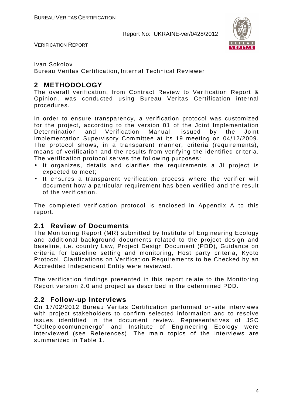

VERIFICATION REPORT

#### Ivan Sokolov

Bureau Veritas Certification, Internal Technical Reviewer

## **2 METHODOLOGY**

The overall verification, from Contract Review to Verification Report & Opinion, was conducted using Bureau Veritas Certification internal procedures.

In order to ensure transparency, a verification protocol was customized for the project, according to the version 01 of the Joint Implementation Determination and Verification Manual, issued by the Joint Implementation Supervisory Committee at its 19 meeting on 04/12/2009. The protocol shows, in a transparent manner, criteria (requirements), means of verification and the results from verifying the identified criteria. The verification protocol serves the following purposes:

- It organizes, details and clarifies the requirements a JI project is expected to meet;
- It ensures a transparent verification process where the verifier will document how a particular requirement has been verified and the result of the verification.

The completed verification protocol is enclosed in Appendix A to this report.

### **2.1 Review of Documents**

The Monitoring Report (MR) submitted by Institute of Engineering Ecology and additional background documents related to the project design and baseline, i.e. country Law, Project Design Document (PDD), Guidance on criteria for baseline setting and monitoring, Host party criteria, Kyoto Protocol, Clarifications on Verification Requirements to be Checked by an Accredited Independent Entity were reviewed.

The verification findings presented in this report relate to the Monitoring Report version 2.0 and project as described in the determined PDD.

## **2.2 Follow-up Interviews**

On 17/02/2012 Bureau Veritas Certification performed on-site interviews with project stakeholders to confirm selected information and to resolve issues identified in the document review. Representatives of JSC "Oblteplocomunenergo" and Institute of Engineering Ecology were interviewed (see References). The main topics of the interviews are summarized in Table 1.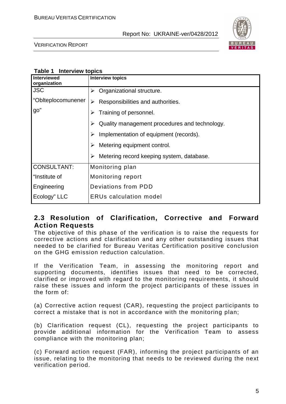

VERIFICATION REPORT

|  |  | Table 1 Interview topics |
|--|--|--------------------------|
|--|--|--------------------------|

| Interviewed<br>organization | <b>Interview topics</b>                            |
|-----------------------------|----------------------------------------------------|
| <b>JSC</b>                  | Organizational structure.<br>➤                     |
| "Oblteplocomunener          | Responsibilities and authorities.<br>⋗             |
| go"                         | Training of personnel.<br>⋗                        |
|                             | Quality management procedures and technology.<br>↘ |
|                             | Implementation of equipment (records).             |
|                             | Metering equipment control.<br>➤                   |
|                             | Metering record keeping system, database.<br>➤     |
| <b>CONSULTANT:</b>          | Monitoring plan                                    |
| l "Institute of             | Monitoring report                                  |
| Engineering                 | Deviations from PDD                                |
| Ecology" LLC                | <b>ERUs calculation model</b>                      |

### **2.3 Resolution of Clarification, Corrective and Forward Action Requests**

The objective of this phase of the verification is to raise the requests for corrective actions and clarification and any other outstanding issues that needed to be clarified for Bureau Veritas Certification positive conclusion on the GHG emission reduction calculation.

If the Verification Team, in assessing the monitoring report and supporting documents, identifies issues that need to be corrected, clarified or improved with regard to the monitoring requirements, it should raise these issues and inform the project participants of these issues in the form of:

(a) Corrective action request (CAR), requesting the project participants to correct a mistake that is not in accordance with the monitoring plan;

(b) Clarification request (CL), requesting the project participants to provide additional information for the Verification Team to assess compliance with the monitoring plan;

(c) Forward action request (FAR), informing the project participants of an issue, relating to the monitoring that needs to be reviewed during the next verification period.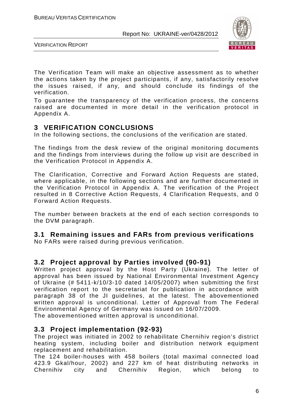

VERIFICATION REPORT

The Verification Team will make an objective assessment as to whether the actions taken by the project participants, if any, satisfactorily resolve the issues raised, if any, and should conclude its findings of the verification.

To guarantee the transparency of the verification process, the concerns raised are documented in more detail in the verification protocol in Appendix A.

## **3 VERIFICATION CONCLUSIONS**

In the following sections, the conclusions of the verification are stated.

The findings from the desk review of the original monitoring documents and the findings from interviews during the follow up visit are described in the Verification Protocol in Appendix A.

The Clarification, Corrective and Forward Action Requests are stated, where applicable, in the following sections and are further documented in the Verification Protocol in Appendix A. The verification of the Project resulted in 8 Corrective Action Requests, 4 Clarification Requests, and 0 Forward Action Requests.

The number between brackets at the end of each section corresponds to the DVM paragraph.

## **3.1 Remaining issues and FARs from previous verifications**

No FARs were raised during previous verification.

## **3.2 Project approval by Parties involved (90-91)**

Written project approval by the Host Party (Ukraine). The letter of approval has been issued by National Environmental Investment Agency of Ukraine (# 5411-k/10/3-10 dated 14/05/2007) when submitting the first verification report to the secretariat for publication in accordance with paragraph 38 of the JI guidelines, at the latest. The abovementioned written approval is unconditional. Letter of Approval from The Federal Environmental Agency of Germany was issued on 16/07/2009. The abovementioned written approval is unconditional.

**3.3 Project implementation (92-93)** 

The project was initiated in 2002 to rehabilitate Chernihiv region's district heating system, including boiler and distribution network equipment replacement and rehabilitation.

The 124 boiler-houses with 458 boilers (total maximal connected load 423.9 Gkal/hour, 2002) and 227 km of heat distributing networks in Chernihiv city and Chernihiv Region, which belong to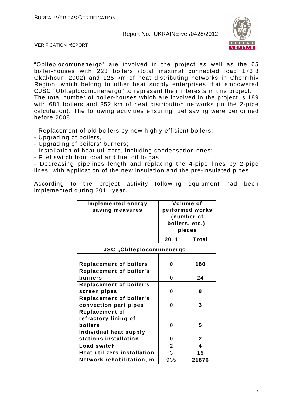

VERIFICATION REPORT

"Oblteplocomunenergo" are involved in the project as well as the 65 boiler-houses with 223 boilers (total maximal connected load 173.8 Gkal/hour, 2002) and 125 km of heat distributing networks in Chernihiv Region, which belong to other heat supply enterprises that empowered OJSC "Oblteplocomunenergo" to represent their interests in this project. The total number of boiler-houses which are involved in the project is 189 with 681 boilers and 352 km of heat distribution networks (in the 2-pipe calculation). The following activities ensuring fuel saving were performed before 2008:

- Replacement of old boilers by new highly efficient boilers;
- Upgrading of boilers,
- Upgrading of boilers' burners;
- Installation of heat utilizers, including condensation ones;
- Fuel switch from coal and fuel oil to gas;

- Decreasing pipelines length and replacing the 4-pipe lines by 2-pipe lines, with application of the new insulation and the pre-insulated pipes.

According to the project activity following equipment had been implemented during 2011 year.

| Implemented energy<br>saving measures | Volume of<br>performed works<br>(number of<br>boilers, etc.),<br>pieces |                |
|---------------------------------------|-------------------------------------------------------------------------|----------------|
|                                       | 2011                                                                    | Total          |
| JSC "Oblteplocomunenergo"             |                                                                         |                |
|                                       |                                                                         |                |
| <b>Replacement of boilers</b>         | 0                                                                       | 180            |
| <b>Replacement of boiler's</b>        |                                                                         |                |
| burners                               | 0                                                                       | 24             |
| <b>Replacement of boiler's</b>        |                                                                         |                |
| screen pipes                          | 0                                                                       | 8              |
| <b>Replacement of boiler's</b>        |                                                                         |                |
| convection part pipes                 | 0                                                                       | 3              |
| <b>Replacement of</b>                 |                                                                         |                |
| refractory lining of                  |                                                                         |                |
| boilers                               | 0                                                                       | 5              |
| Individual heat supply                |                                                                         |                |
| stations installation                 | 0                                                                       | $\overline{2}$ |
| Load switch                           | $\mathbf{2}$                                                            | 4              |
| <b>Heat utilizers installation</b>    | 3                                                                       | 15             |
| Network rehabilitation, m             | 935                                                                     | 21876          |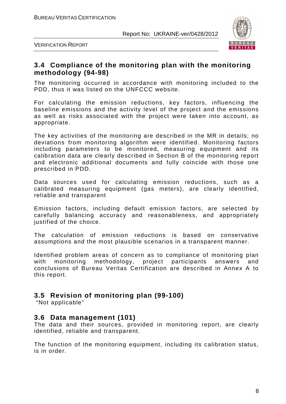

VERIFICATION REPORT

## **3.4 Compliance of the monitoring plan with the monitoring methodology (94-98)**

The monitoring occurred in accordance with monitoring included to the PDD, thus it was listed on the UNFCCC website.

For calculating the emission reductions, key factors, influencing the baseline emissions and the activity level of the project and the emissions as well as risks associated with the project were taken into account, as appropriate.

The key activities of the monitoring are described in the MR in details; no deviations from monitoring algorithm were identified. Monitoring factors including parameters to be monitored, measuring equipment and its calibration data are clearly described in Section B of the monitoring report and electronic additional documents and fully coincide with those one prescribed in PDD.

Data sources used for calculating emission reductions, such as a calibrated measuring equipment (gas meters), are clearly identified, reliable and transparent

Emission factors, including default emission factors, are selected by carefully balancing accuracy and reasonableness, and appropriately iustified of the choice.

The calculation of emission reductions is based on conservative assumptions and the most plausible scenarios in a transparent manner.

Identified problem areas of concern as to compliance of monitoring plan with monitoring methodology, project participants answers and conclusions of Bureau Veritas Certification are described in Annex A to this report.

## **3.5 Revision of monitoring plan (99-100)**

"Not applicable"

### **3.6 Data management (101)**

The data and their sources, provided in monitoring report, are clearly identified, reliable and transparent.

The function of the monitoring equipment, including its calibration status, is in order.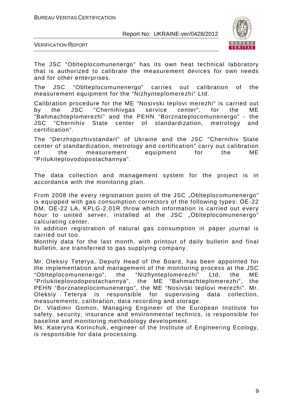

VERIFICATION REPORT

The JSC "Oblteplocomunenergo" has its own heat technical laboratory that is authorized to calibrate the measurement devices for own needs and for other enterprises.

The JSC "Oblteplocomunenergo" carries out calibration of the measurement equipment for the "Nizhynteplomerezhi" Ltd.

Calibration procedure for the ME "Nosivski teplovi merezhi" is carried out by the JSC "Chernihivgas service center", for the ME "Bahmachteplomerezhi" and the PEHN "Borznateplocomunenergo" - the JSC "Chernihiv State center of standardization, metrology and certification".

The "Derzhspozhivstandart" of Ukraine and the JSC "Chernihiv State center of standardization, metrology and certification" carry out calibration of the measurement equipment for the ME "Prilukiteplovodopostachannya".

The data collection and management system for the project is in accordance with the monitoring plan.

From 2008 the every registration point of the JSC "Oblteplocomunenergo" is equipped with gas consumption correctors of the following types: ОЕ-22 DM, ОЕ-22 LA, KPLG-2.01R throw which information is carried out every hour to united server, installed at the JSC "Oblteplocomunenergo" calculating center.

In addition registration of natural gas consumption in paper journal is carried out too.

Monthly data for the last month, with printout of daily bulletin and final bulletin, are transferred to gas supplying company.

Mr. Oleksiy Teterya, Deputy Head of the Board, has been appointed for the implementation and management of the monitoring process at the JSC "Oblteplocomunenergo", the "Nizhynteplomerezhi" Ltd, the ME "Prilukiteplovodopostachannya", the ME "Bahmachteplomerezhi", the PEHN "Borznateplocomunenergo", the ME "Nosivski teplovi merezhi". Mr. Oleksiy Teterya is responsible for supervising data collection, measurements, calibration, data recording and storage.

Dr. Vladimir Gomon, Managing Engineer of the European Institute for safety, security, insurance and environmental technics, is responsible for baseline and monitoring methodology development.

Ms. Kateryna Korinchuk, engineer of the Institute of Engineering Ecology, is responsible for data processing.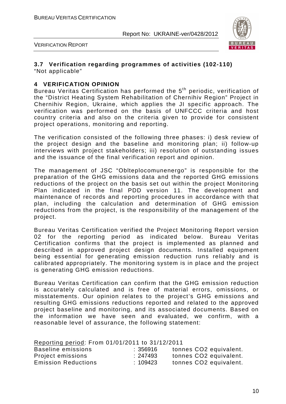

VERIFICATION REPORT

#### **3.7 Verification regarding programmes of activities (102-110)**  "Not applicable"

#### **4 VERIFICATION OPINION**

Bureau Veritas Certification has performed the 5<sup>th</sup> periodic, verification of the "District Heating System Rehabilitation of Chernihiv Region" Project in Chernihiv Region, Ukraine, which applies the JI specific approach. The verification was performed on the basis of UNFCCC criteria and host country criteria and also on the criteria given to provide for consistent project operations, monitoring and reporting.

The verification consisted of the following three phases: i) desk review of the project design and the baseline and monitoring plan; ii) follow-up interviews with project stakeholders; iii) resolution of outstanding issues and the issuance of the final verification report and opinion.

The management of JSC "Oblteplocomunenergo" is responsible for the preparation of the GHG emissions data and the reported GHG emissions reductions of the project on the basis set out within the project Monitoring Plan indicated in the final PDD version 11. The development and maintenance of records and reporting procedures in accordance with that plan, including the calculation and determination of GHG emission reductions from the project, is the responsibility of the management of the project.

Bureau Veritas Certification verified the Project Monitoring Report version 02 for the reporting period as indicated below. Bureau Veritas Certification confirms that the project is implemented as planned and described in approved project design documents. Installed equipment being essential for generating emission reduction runs reliably and is calibrated appropriately. The monitoring system is in place and the project is generating GHG emission reductions.

Bureau Veritas Certification can confirm that the GHG emission reduction is accurately calculated and is free of material errors, omissions, or misstatements. Our opinion relates to the project's GHG emissions and resulting GHG emissions reductions reported and related to the approved project baseline and monitoring, and its associated documents. Based on the information we have seen and evaluated, we confirm, with a reasonable level of assurance, the following statement:

| Reporting period: From 01/01/2011 to 31/12/2011 |          |                                    |
|-------------------------------------------------|----------|------------------------------------|
| Baseline emissions                              | : 356916 | tonnes CO <sub>2</sub> equivalent. |
| Project emissions                               | :247493  | tonnes CO2 equivalent.             |
| <b>Emission Reductions</b>                      | :109423  | tonnes CO <sub>2</sub> equivalent. |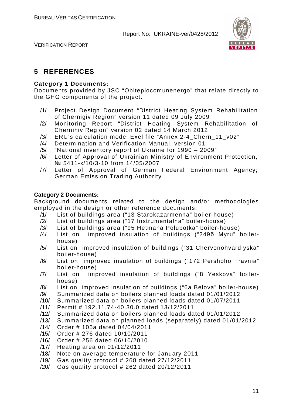



## **5 REFERENCES**

#### **Category 1 Documents:**

Documents provided by JSC "Oblteplocomunenergo" that relate directly to the GHG components of the project.

- /1/ Project Design Document "District Heating System Rehabilitation of Chernigiv Region" version 11 dated 09 July 2009
- /2/ Monitoring Report "District Heating System Rehabilitation of Chernihiv Region" version 02 dated 14 March 2012
- /3/ ERU's calculation model Exel file "Annex 2-4\_Chern\_11\_v02"
- /4/ Determination and Verification Manual, version 01
- /5/ "National inventory report of Ukraine for 1990 2009"
- /6/ Letter of Approval of Ukrainian Ministry of Environment Protection, № 5411-к/10/3-10 from 14/05/2007
- /7/ Letter of Approval of German Federal Environment Agency; German Emission Trading Authority

#### **Category 2 Documents:**

Background documents related to the design and/or methodologies employed in the design or other reference documents.

- /1/ List of buildings area ("13 Starokazarmenna" boiler-house)
- /2/ List of buildings area ("17 Instrumentalna" boiler-house)
- /3/ List of buildings area ("95 Hetmana Polubotka" boiler-house)
- /4/ List on improved insulation of buildings ("249б Myru" boilerhouse)
- /5/ List on improved insulation of buildings ("31 Chervonohvardiyska" boiler-house)
- /6/ List on improved insulation of buildings ("172 Pershoho Travnia" boiler-house)
- /7/ List on improved insulation of buildings ("8 Yeskova" boilerhouse)
- /8/ List on improved insulation of buildings ("6a Belova" boiler-house)
- /9/ Summarized data on boilers planned loads dated 01/01/2012
- /10/ Summarized data on boilers planned loads dated 01/07/2011
- /11/ Permit # 192.11.74-40.30.0 dated 13/12/2011
- /12/ Summarized data on boilers planned loads dated 01/01/2012
- /13/ Summarized data on planned loads (separately) dated 01/01/2012
- /14/ Order # 105a dated 04/04/2011
- /15/ Order # 276 dated 10/10/2011
- /16/ Order # 256 dated 06/10/2010
- /17/ Heating area on 01/12/2011
- /18/ Note on average temperature for January 2011
- /19/ Gas quality protocol # 268 dated 27/12/2011
- /20/ Gas quality protocol # 262 dated 20/12/2011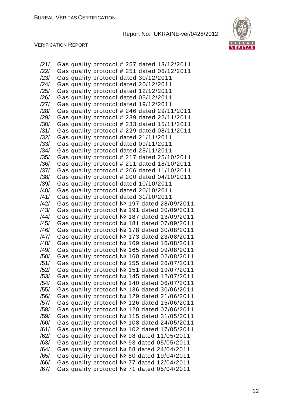

| Gas quality protocol # 251 dated 06/12/2011<br>/22/<br>Gas quality protocol dated 30/12/2011<br>/23/<br>Gas quality protocol dated 20/12/2011<br>/24/<br>Gas quality protocol dated 12/12/2011<br>/25/<br>Gas quality protocol dated 05/12/2011<br>/26/<br>Gas quality protocol dated 19/12/2011<br>/27/<br>Gas quality protocol # 246 dated 29/11/2011<br>/28/<br>Gas quality protocol # 239 dated 22/11/2011<br>/29/<br>Gas quality protocol # 233 dated 15/11/2011<br>/30/<br>/31/<br>Gas quality protocol # 229 dated 08/11/2011<br>Gas quality protocol dated 21/11/2011<br>/32/<br>/33/<br>Gas quality protocol dated 09/11/2011<br>Gas quality protocol dated 28/11/2011<br>/34/<br>Gas quality protocol # 217 dated 25/10/2011<br>/35/<br>/36/<br>Gas quality protocol # 211 dated 18/10/2011<br>Gas quality protocol # 206 dated 11/10/2011<br>/37/<br>Gas quality protocol # 200 dated 04/10/2011<br>/38/<br>Gas quality protocol dated 10/10/2011<br>/39/<br>Gas quality protocol dated 20/10/2011<br>/40/<br>/41/<br>Gas quality protocol dated 31/10/2011<br>Gas quality protocol № 197 dated 28/09/2011<br>/42/<br>Gas quality protocol № 191 dated 20/09/2011<br>/43/<br>Gas quality protocol № 187 dated 13/09/2011<br>/44/<br>Gas quality protocol № 181 dated 07/09/2011<br>/45/<br>Gas quality protocol Nº 178 dated 30/08/2011<br>/46/<br>Gas quality protocol № 173 dated 23/08/2011<br>/47/<br>Gas quality protocol № 169 dated 16/08/2011<br>/48/<br>Gas quality protocol № 165 dated 09/08/2011<br>/49/<br>Gas quality protocol № 160 dated 02/08/2011<br>/50/<br>Gas quality protocol № 155 dated 26/07/2011<br>/51/<br>Gas quality protocol № 151 dated 19/07/2011<br>/52/<br>Gas quality protocol № 145 dated 12/07/2011<br>/53/<br>Gas quality protocol № 140 dated 06/07/2011<br>/54/<br>Gas quality protocol № 136 dated 30/06/2011<br>/55/<br>Gas quality protocol № 129 dated 21/06/2011<br>/56/<br>Gas quality protocol № 126 dated 15/06/2011<br>/57/<br>Gas quality protocol № 120 dated 07/06/2011<br>/58/<br>Gas quality protocol № 115 dated 31/05/2011<br>/59/<br>Gas quality protocol № 108 dated 24/05/2011<br>/60/<br>Gas quality protocol № 102 dated 17/05/2011<br>/61/<br>Gas quality protocol № 98 dated 11/05/2011<br>/62/<br>Gas quality protocol № 93 dated 05/05/2011<br>/63/<br>Gas quality protocol № 88 dated 24/04/2011<br>/64/<br>/65/<br>Gas quality protocol № 80 dated 19/04/2011<br>Gas quality protocol Nº 77 dated 12/04/2011<br>/66/<br>Gas quality protocol № 71 dated 05/04/2011<br>/67/ | /21/ | Gas quality protocol # 257 dated 13/12/2011 |  |
|----------------------------------------------------------------------------------------------------------------------------------------------------------------------------------------------------------------------------------------------------------------------------------------------------------------------------------------------------------------------------------------------------------------------------------------------------------------------------------------------------------------------------------------------------------------------------------------------------------------------------------------------------------------------------------------------------------------------------------------------------------------------------------------------------------------------------------------------------------------------------------------------------------------------------------------------------------------------------------------------------------------------------------------------------------------------------------------------------------------------------------------------------------------------------------------------------------------------------------------------------------------------------------------------------------------------------------------------------------------------------------------------------------------------------------------------------------------------------------------------------------------------------------------------------------------------------------------------------------------------------------------------------------------------------------------------------------------------------------------------------------------------------------------------------------------------------------------------------------------------------------------------------------------------------------------------------------------------------------------------------------------------------------------------------------------------------------------------------------------------------------------------------------------------------------------------------------------------------------------------------------------------------------------------------------------------------------------------------------------------------------------------------------------------------------------------------------------------------------------------------------------------------------------------------------|------|---------------------------------------------|--|
|                                                                                                                                                                                                                                                                                                                                                                                                                                                                                                                                                                                                                                                                                                                                                                                                                                                                                                                                                                                                                                                                                                                                                                                                                                                                                                                                                                                                                                                                                                                                                                                                                                                                                                                                                                                                                                                                                                                                                                                                                                                                                                                                                                                                                                                                                                                                                                                                                                                                                                                                                          |      |                                             |  |
|                                                                                                                                                                                                                                                                                                                                                                                                                                                                                                                                                                                                                                                                                                                                                                                                                                                                                                                                                                                                                                                                                                                                                                                                                                                                                                                                                                                                                                                                                                                                                                                                                                                                                                                                                                                                                                                                                                                                                                                                                                                                                                                                                                                                                                                                                                                                                                                                                                                                                                                                                          |      |                                             |  |
|                                                                                                                                                                                                                                                                                                                                                                                                                                                                                                                                                                                                                                                                                                                                                                                                                                                                                                                                                                                                                                                                                                                                                                                                                                                                                                                                                                                                                                                                                                                                                                                                                                                                                                                                                                                                                                                                                                                                                                                                                                                                                                                                                                                                                                                                                                                                                                                                                                                                                                                                                          |      |                                             |  |
|                                                                                                                                                                                                                                                                                                                                                                                                                                                                                                                                                                                                                                                                                                                                                                                                                                                                                                                                                                                                                                                                                                                                                                                                                                                                                                                                                                                                                                                                                                                                                                                                                                                                                                                                                                                                                                                                                                                                                                                                                                                                                                                                                                                                                                                                                                                                                                                                                                                                                                                                                          |      |                                             |  |
|                                                                                                                                                                                                                                                                                                                                                                                                                                                                                                                                                                                                                                                                                                                                                                                                                                                                                                                                                                                                                                                                                                                                                                                                                                                                                                                                                                                                                                                                                                                                                                                                                                                                                                                                                                                                                                                                                                                                                                                                                                                                                                                                                                                                                                                                                                                                                                                                                                                                                                                                                          |      |                                             |  |
|                                                                                                                                                                                                                                                                                                                                                                                                                                                                                                                                                                                                                                                                                                                                                                                                                                                                                                                                                                                                                                                                                                                                                                                                                                                                                                                                                                                                                                                                                                                                                                                                                                                                                                                                                                                                                                                                                                                                                                                                                                                                                                                                                                                                                                                                                                                                                                                                                                                                                                                                                          |      |                                             |  |
|                                                                                                                                                                                                                                                                                                                                                                                                                                                                                                                                                                                                                                                                                                                                                                                                                                                                                                                                                                                                                                                                                                                                                                                                                                                                                                                                                                                                                                                                                                                                                                                                                                                                                                                                                                                                                                                                                                                                                                                                                                                                                                                                                                                                                                                                                                                                                                                                                                                                                                                                                          |      |                                             |  |
|                                                                                                                                                                                                                                                                                                                                                                                                                                                                                                                                                                                                                                                                                                                                                                                                                                                                                                                                                                                                                                                                                                                                                                                                                                                                                                                                                                                                                                                                                                                                                                                                                                                                                                                                                                                                                                                                                                                                                                                                                                                                                                                                                                                                                                                                                                                                                                                                                                                                                                                                                          |      |                                             |  |
|                                                                                                                                                                                                                                                                                                                                                                                                                                                                                                                                                                                                                                                                                                                                                                                                                                                                                                                                                                                                                                                                                                                                                                                                                                                                                                                                                                                                                                                                                                                                                                                                                                                                                                                                                                                                                                                                                                                                                                                                                                                                                                                                                                                                                                                                                                                                                                                                                                                                                                                                                          |      |                                             |  |
|                                                                                                                                                                                                                                                                                                                                                                                                                                                                                                                                                                                                                                                                                                                                                                                                                                                                                                                                                                                                                                                                                                                                                                                                                                                                                                                                                                                                                                                                                                                                                                                                                                                                                                                                                                                                                                                                                                                                                                                                                                                                                                                                                                                                                                                                                                                                                                                                                                                                                                                                                          |      |                                             |  |
|                                                                                                                                                                                                                                                                                                                                                                                                                                                                                                                                                                                                                                                                                                                                                                                                                                                                                                                                                                                                                                                                                                                                                                                                                                                                                                                                                                                                                                                                                                                                                                                                                                                                                                                                                                                                                                                                                                                                                                                                                                                                                                                                                                                                                                                                                                                                                                                                                                                                                                                                                          |      |                                             |  |
|                                                                                                                                                                                                                                                                                                                                                                                                                                                                                                                                                                                                                                                                                                                                                                                                                                                                                                                                                                                                                                                                                                                                                                                                                                                                                                                                                                                                                                                                                                                                                                                                                                                                                                                                                                                                                                                                                                                                                                                                                                                                                                                                                                                                                                                                                                                                                                                                                                                                                                                                                          |      |                                             |  |
|                                                                                                                                                                                                                                                                                                                                                                                                                                                                                                                                                                                                                                                                                                                                                                                                                                                                                                                                                                                                                                                                                                                                                                                                                                                                                                                                                                                                                                                                                                                                                                                                                                                                                                                                                                                                                                                                                                                                                                                                                                                                                                                                                                                                                                                                                                                                                                                                                                                                                                                                                          |      |                                             |  |
|                                                                                                                                                                                                                                                                                                                                                                                                                                                                                                                                                                                                                                                                                                                                                                                                                                                                                                                                                                                                                                                                                                                                                                                                                                                                                                                                                                                                                                                                                                                                                                                                                                                                                                                                                                                                                                                                                                                                                                                                                                                                                                                                                                                                                                                                                                                                                                                                                                                                                                                                                          |      |                                             |  |
|                                                                                                                                                                                                                                                                                                                                                                                                                                                                                                                                                                                                                                                                                                                                                                                                                                                                                                                                                                                                                                                                                                                                                                                                                                                                                                                                                                                                                                                                                                                                                                                                                                                                                                                                                                                                                                                                                                                                                                                                                                                                                                                                                                                                                                                                                                                                                                                                                                                                                                                                                          |      |                                             |  |
|                                                                                                                                                                                                                                                                                                                                                                                                                                                                                                                                                                                                                                                                                                                                                                                                                                                                                                                                                                                                                                                                                                                                                                                                                                                                                                                                                                                                                                                                                                                                                                                                                                                                                                                                                                                                                                                                                                                                                                                                                                                                                                                                                                                                                                                                                                                                                                                                                                                                                                                                                          |      |                                             |  |
|                                                                                                                                                                                                                                                                                                                                                                                                                                                                                                                                                                                                                                                                                                                                                                                                                                                                                                                                                                                                                                                                                                                                                                                                                                                                                                                                                                                                                                                                                                                                                                                                                                                                                                                                                                                                                                                                                                                                                                                                                                                                                                                                                                                                                                                                                                                                                                                                                                                                                                                                                          |      |                                             |  |
|                                                                                                                                                                                                                                                                                                                                                                                                                                                                                                                                                                                                                                                                                                                                                                                                                                                                                                                                                                                                                                                                                                                                                                                                                                                                                                                                                                                                                                                                                                                                                                                                                                                                                                                                                                                                                                                                                                                                                                                                                                                                                                                                                                                                                                                                                                                                                                                                                                                                                                                                                          |      |                                             |  |
|                                                                                                                                                                                                                                                                                                                                                                                                                                                                                                                                                                                                                                                                                                                                                                                                                                                                                                                                                                                                                                                                                                                                                                                                                                                                                                                                                                                                                                                                                                                                                                                                                                                                                                                                                                                                                                                                                                                                                                                                                                                                                                                                                                                                                                                                                                                                                                                                                                                                                                                                                          |      |                                             |  |
|                                                                                                                                                                                                                                                                                                                                                                                                                                                                                                                                                                                                                                                                                                                                                                                                                                                                                                                                                                                                                                                                                                                                                                                                                                                                                                                                                                                                                                                                                                                                                                                                                                                                                                                                                                                                                                                                                                                                                                                                                                                                                                                                                                                                                                                                                                                                                                                                                                                                                                                                                          |      |                                             |  |
|                                                                                                                                                                                                                                                                                                                                                                                                                                                                                                                                                                                                                                                                                                                                                                                                                                                                                                                                                                                                                                                                                                                                                                                                                                                                                                                                                                                                                                                                                                                                                                                                                                                                                                                                                                                                                                                                                                                                                                                                                                                                                                                                                                                                                                                                                                                                                                                                                                                                                                                                                          |      |                                             |  |
|                                                                                                                                                                                                                                                                                                                                                                                                                                                                                                                                                                                                                                                                                                                                                                                                                                                                                                                                                                                                                                                                                                                                                                                                                                                                                                                                                                                                                                                                                                                                                                                                                                                                                                                                                                                                                                                                                                                                                                                                                                                                                                                                                                                                                                                                                                                                                                                                                                                                                                                                                          |      |                                             |  |
|                                                                                                                                                                                                                                                                                                                                                                                                                                                                                                                                                                                                                                                                                                                                                                                                                                                                                                                                                                                                                                                                                                                                                                                                                                                                                                                                                                                                                                                                                                                                                                                                                                                                                                                                                                                                                                                                                                                                                                                                                                                                                                                                                                                                                                                                                                                                                                                                                                                                                                                                                          |      |                                             |  |
|                                                                                                                                                                                                                                                                                                                                                                                                                                                                                                                                                                                                                                                                                                                                                                                                                                                                                                                                                                                                                                                                                                                                                                                                                                                                                                                                                                                                                                                                                                                                                                                                                                                                                                                                                                                                                                                                                                                                                                                                                                                                                                                                                                                                                                                                                                                                                                                                                                                                                                                                                          |      |                                             |  |
|                                                                                                                                                                                                                                                                                                                                                                                                                                                                                                                                                                                                                                                                                                                                                                                                                                                                                                                                                                                                                                                                                                                                                                                                                                                                                                                                                                                                                                                                                                                                                                                                                                                                                                                                                                                                                                                                                                                                                                                                                                                                                                                                                                                                                                                                                                                                                                                                                                                                                                                                                          |      |                                             |  |
|                                                                                                                                                                                                                                                                                                                                                                                                                                                                                                                                                                                                                                                                                                                                                                                                                                                                                                                                                                                                                                                                                                                                                                                                                                                                                                                                                                                                                                                                                                                                                                                                                                                                                                                                                                                                                                                                                                                                                                                                                                                                                                                                                                                                                                                                                                                                                                                                                                                                                                                                                          |      |                                             |  |
|                                                                                                                                                                                                                                                                                                                                                                                                                                                                                                                                                                                                                                                                                                                                                                                                                                                                                                                                                                                                                                                                                                                                                                                                                                                                                                                                                                                                                                                                                                                                                                                                                                                                                                                                                                                                                                                                                                                                                                                                                                                                                                                                                                                                                                                                                                                                                                                                                                                                                                                                                          |      |                                             |  |
|                                                                                                                                                                                                                                                                                                                                                                                                                                                                                                                                                                                                                                                                                                                                                                                                                                                                                                                                                                                                                                                                                                                                                                                                                                                                                                                                                                                                                                                                                                                                                                                                                                                                                                                                                                                                                                                                                                                                                                                                                                                                                                                                                                                                                                                                                                                                                                                                                                                                                                                                                          |      |                                             |  |
|                                                                                                                                                                                                                                                                                                                                                                                                                                                                                                                                                                                                                                                                                                                                                                                                                                                                                                                                                                                                                                                                                                                                                                                                                                                                                                                                                                                                                                                                                                                                                                                                                                                                                                                                                                                                                                                                                                                                                                                                                                                                                                                                                                                                                                                                                                                                                                                                                                                                                                                                                          |      |                                             |  |
|                                                                                                                                                                                                                                                                                                                                                                                                                                                                                                                                                                                                                                                                                                                                                                                                                                                                                                                                                                                                                                                                                                                                                                                                                                                                                                                                                                                                                                                                                                                                                                                                                                                                                                                                                                                                                                                                                                                                                                                                                                                                                                                                                                                                                                                                                                                                                                                                                                                                                                                                                          |      |                                             |  |
|                                                                                                                                                                                                                                                                                                                                                                                                                                                                                                                                                                                                                                                                                                                                                                                                                                                                                                                                                                                                                                                                                                                                                                                                                                                                                                                                                                                                                                                                                                                                                                                                                                                                                                                                                                                                                                                                                                                                                                                                                                                                                                                                                                                                                                                                                                                                                                                                                                                                                                                                                          |      |                                             |  |
|                                                                                                                                                                                                                                                                                                                                                                                                                                                                                                                                                                                                                                                                                                                                                                                                                                                                                                                                                                                                                                                                                                                                                                                                                                                                                                                                                                                                                                                                                                                                                                                                                                                                                                                                                                                                                                                                                                                                                                                                                                                                                                                                                                                                                                                                                                                                                                                                                                                                                                                                                          |      |                                             |  |
|                                                                                                                                                                                                                                                                                                                                                                                                                                                                                                                                                                                                                                                                                                                                                                                                                                                                                                                                                                                                                                                                                                                                                                                                                                                                                                                                                                                                                                                                                                                                                                                                                                                                                                                                                                                                                                                                                                                                                                                                                                                                                                                                                                                                                                                                                                                                                                                                                                                                                                                                                          |      |                                             |  |
|                                                                                                                                                                                                                                                                                                                                                                                                                                                                                                                                                                                                                                                                                                                                                                                                                                                                                                                                                                                                                                                                                                                                                                                                                                                                                                                                                                                                                                                                                                                                                                                                                                                                                                                                                                                                                                                                                                                                                                                                                                                                                                                                                                                                                                                                                                                                                                                                                                                                                                                                                          |      |                                             |  |
|                                                                                                                                                                                                                                                                                                                                                                                                                                                                                                                                                                                                                                                                                                                                                                                                                                                                                                                                                                                                                                                                                                                                                                                                                                                                                                                                                                                                                                                                                                                                                                                                                                                                                                                                                                                                                                                                                                                                                                                                                                                                                                                                                                                                                                                                                                                                                                                                                                                                                                                                                          |      |                                             |  |
|                                                                                                                                                                                                                                                                                                                                                                                                                                                                                                                                                                                                                                                                                                                                                                                                                                                                                                                                                                                                                                                                                                                                                                                                                                                                                                                                                                                                                                                                                                                                                                                                                                                                                                                                                                                                                                                                                                                                                                                                                                                                                                                                                                                                                                                                                                                                                                                                                                                                                                                                                          |      |                                             |  |
|                                                                                                                                                                                                                                                                                                                                                                                                                                                                                                                                                                                                                                                                                                                                                                                                                                                                                                                                                                                                                                                                                                                                                                                                                                                                                                                                                                                                                                                                                                                                                                                                                                                                                                                                                                                                                                                                                                                                                                                                                                                                                                                                                                                                                                                                                                                                                                                                                                                                                                                                                          |      |                                             |  |
|                                                                                                                                                                                                                                                                                                                                                                                                                                                                                                                                                                                                                                                                                                                                                                                                                                                                                                                                                                                                                                                                                                                                                                                                                                                                                                                                                                                                                                                                                                                                                                                                                                                                                                                                                                                                                                                                                                                                                                                                                                                                                                                                                                                                                                                                                                                                                                                                                                                                                                                                                          |      |                                             |  |
|                                                                                                                                                                                                                                                                                                                                                                                                                                                                                                                                                                                                                                                                                                                                                                                                                                                                                                                                                                                                                                                                                                                                                                                                                                                                                                                                                                                                                                                                                                                                                                                                                                                                                                                                                                                                                                                                                                                                                                                                                                                                                                                                                                                                                                                                                                                                                                                                                                                                                                                                                          |      |                                             |  |
|                                                                                                                                                                                                                                                                                                                                                                                                                                                                                                                                                                                                                                                                                                                                                                                                                                                                                                                                                                                                                                                                                                                                                                                                                                                                                                                                                                                                                                                                                                                                                                                                                                                                                                                                                                                                                                                                                                                                                                                                                                                                                                                                                                                                                                                                                                                                                                                                                                                                                                                                                          |      |                                             |  |
|                                                                                                                                                                                                                                                                                                                                                                                                                                                                                                                                                                                                                                                                                                                                                                                                                                                                                                                                                                                                                                                                                                                                                                                                                                                                                                                                                                                                                                                                                                                                                                                                                                                                                                                                                                                                                                                                                                                                                                                                                                                                                                                                                                                                                                                                                                                                                                                                                                                                                                                                                          |      |                                             |  |
|                                                                                                                                                                                                                                                                                                                                                                                                                                                                                                                                                                                                                                                                                                                                                                                                                                                                                                                                                                                                                                                                                                                                                                                                                                                                                                                                                                                                                                                                                                                                                                                                                                                                                                                                                                                                                                                                                                                                                                                                                                                                                                                                                                                                                                                                                                                                                                                                                                                                                                                                                          |      |                                             |  |
|                                                                                                                                                                                                                                                                                                                                                                                                                                                                                                                                                                                                                                                                                                                                                                                                                                                                                                                                                                                                                                                                                                                                                                                                                                                                                                                                                                                                                                                                                                                                                                                                                                                                                                                                                                                                                                                                                                                                                                                                                                                                                                                                                                                                                                                                                                                                                                                                                                                                                                                                                          |      |                                             |  |
|                                                                                                                                                                                                                                                                                                                                                                                                                                                                                                                                                                                                                                                                                                                                                                                                                                                                                                                                                                                                                                                                                                                                                                                                                                                                                                                                                                                                                                                                                                                                                                                                                                                                                                                                                                                                                                                                                                                                                                                                                                                                                                                                                                                                                                                                                                                                                                                                                                                                                                                                                          |      |                                             |  |
|                                                                                                                                                                                                                                                                                                                                                                                                                                                                                                                                                                                                                                                                                                                                                                                                                                                                                                                                                                                                                                                                                                                                                                                                                                                                                                                                                                                                                                                                                                                                                                                                                                                                                                                                                                                                                                                                                                                                                                                                                                                                                                                                                                                                                                                                                                                                                                                                                                                                                                                                                          |      |                                             |  |
|                                                                                                                                                                                                                                                                                                                                                                                                                                                                                                                                                                                                                                                                                                                                                                                                                                                                                                                                                                                                                                                                                                                                                                                                                                                                                                                                                                                                                                                                                                                                                                                                                                                                                                                                                                                                                                                                                                                                                                                                                                                                                                                                                                                                                                                                                                                                                                                                                                                                                                                                                          |      |                                             |  |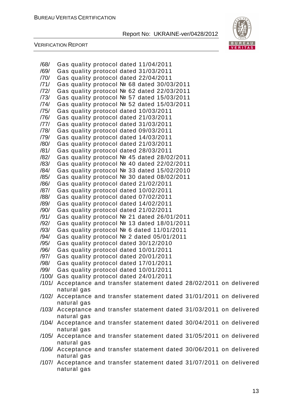

| /68/<br>Gas quality protocol dated 11/04/2011<br>/69/<br>Gas quality protocol dated 31/03/2011<br>/70/<br>Gas quality protocol dated 22/04/2011<br>/71/<br>Gas quality protocol № 68 dated 30/03/2011<br>/72/<br>Gas quality protocol № 62 dated 22/03/2011<br>/73/<br>Gas quality protocol № 57 dated 15/03/2011<br>/74/<br>Gas quality protocol № 52 dated 15/03/2011<br>/75/<br>Gas quality protocol dated 10/03/2011<br>/76/<br>Gas quality protocol dated 21/03/2011<br>/77/<br>Gas quality protocol dated 31/03/2011<br>/78/<br>Gas quality protocol dated 09/03/2011<br>/79/<br>Gas quality protocol dated 14/03/2011<br>/80/<br>Gas quality protocol dated 21/03/2011<br>/81/<br>Gas quality protocol dated 28/03/2011<br>/82/<br>Gas quality protocol № 45 dated 28/02/2011<br>/83/<br>Gas quality protocol № 40 dated 22/02/2011<br>Gas quality protocol № 33 dated 15/02/2010<br>/84/<br>/85/<br>Gas quality protocol № 30 dated 08/02/2011<br>/86/<br>Gas quality protocol dated 21/02/2011<br>/87/<br>Gas quality protocol dated 10/02/2011<br>/88/<br>Gas quality protocol dated 07/02/2011<br>/89/<br>Gas quality protocol dated 14/02/2011<br>/90/<br>Gas quality protocol dated 21/02/2011<br>/91/<br>Gas quality protocol № 21 dated 26/01/2011<br>/92/<br>Gas quality protocol № 13 dated 18/01/2011<br>/93/<br>Gas quality protocol № 6 dated 11/01/2011<br>Gas quality protocol № 2 dated 05/01/2011<br>/94/<br>/95/<br>Gas quality protocol dated 30/12/2010<br>/96/<br>Gas quality protocol dated 10/01/2011<br>/97/<br>Gas quality protocol dated 20/01/2011<br>/98/<br>Gas quality protocol dated 17/01/2011<br>/99/<br>Gas quality protocol dated 10/01/2011<br>/100/ Gas quality protocol dated 24/01/2011<br>/101/ Acceptance and transfer statement dated 28/02/2011 on delivered<br>natural gas<br>/102/ Acceptance and transfer statement dated 31/01/2011 on delivered<br>natural gas<br>/103/ Acceptance and transfer statement dated 31/03/2011 on delivered<br>natural gas<br>/104/ Acceptance and transfer statement dated 30/04/2011 on delivered<br>natural gas<br>/105/ Acceptance and transfer statement dated 31/05/2011 on delivered<br>natural gas<br>/106/ Acceptance and transfer statement dated 30/06/2011 on delivered<br>natural gas<br>/107/ Acceptance and transfer statement dated 31/07/2011 on delivered |             |
|----------------------------------------------------------------------------------------------------------------------------------------------------------------------------------------------------------------------------------------------------------------------------------------------------------------------------------------------------------------------------------------------------------------------------------------------------------------------------------------------------------------------------------------------------------------------------------------------------------------------------------------------------------------------------------------------------------------------------------------------------------------------------------------------------------------------------------------------------------------------------------------------------------------------------------------------------------------------------------------------------------------------------------------------------------------------------------------------------------------------------------------------------------------------------------------------------------------------------------------------------------------------------------------------------------------------------------------------------------------------------------------------------------------------------------------------------------------------------------------------------------------------------------------------------------------------------------------------------------------------------------------------------------------------------------------------------------------------------------------------------------------------------------------------------------------------------------------------------------------------------------------------------------------------------------------------------------------------------------------------------------------------------------------------------------------------------------------------------------------------------------------------------------------------------------------------------------------------------------------------------------------------------------------------------------------------------------------------------------------|-------------|
|                                                                                                                                                                                                                                                                                                                                                                                                                                                                                                                                                                                                                                                                                                                                                                                                                                                                                                                                                                                                                                                                                                                                                                                                                                                                                                                                                                                                                                                                                                                                                                                                                                                                                                                                                                                                                                                                                                                                                                                                                                                                                                                                                                                                                                                                                                                                                                |             |
|                                                                                                                                                                                                                                                                                                                                                                                                                                                                                                                                                                                                                                                                                                                                                                                                                                                                                                                                                                                                                                                                                                                                                                                                                                                                                                                                                                                                                                                                                                                                                                                                                                                                                                                                                                                                                                                                                                                                                                                                                                                                                                                                                                                                                                                                                                                                                                |             |
|                                                                                                                                                                                                                                                                                                                                                                                                                                                                                                                                                                                                                                                                                                                                                                                                                                                                                                                                                                                                                                                                                                                                                                                                                                                                                                                                                                                                                                                                                                                                                                                                                                                                                                                                                                                                                                                                                                                                                                                                                                                                                                                                                                                                                                                                                                                                                                |             |
|                                                                                                                                                                                                                                                                                                                                                                                                                                                                                                                                                                                                                                                                                                                                                                                                                                                                                                                                                                                                                                                                                                                                                                                                                                                                                                                                                                                                                                                                                                                                                                                                                                                                                                                                                                                                                                                                                                                                                                                                                                                                                                                                                                                                                                                                                                                                                                |             |
|                                                                                                                                                                                                                                                                                                                                                                                                                                                                                                                                                                                                                                                                                                                                                                                                                                                                                                                                                                                                                                                                                                                                                                                                                                                                                                                                                                                                                                                                                                                                                                                                                                                                                                                                                                                                                                                                                                                                                                                                                                                                                                                                                                                                                                                                                                                                                                |             |
|                                                                                                                                                                                                                                                                                                                                                                                                                                                                                                                                                                                                                                                                                                                                                                                                                                                                                                                                                                                                                                                                                                                                                                                                                                                                                                                                                                                                                                                                                                                                                                                                                                                                                                                                                                                                                                                                                                                                                                                                                                                                                                                                                                                                                                                                                                                                                                |             |
|                                                                                                                                                                                                                                                                                                                                                                                                                                                                                                                                                                                                                                                                                                                                                                                                                                                                                                                                                                                                                                                                                                                                                                                                                                                                                                                                                                                                                                                                                                                                                                                                                                                                                                                                                                                                                                                                                                                                                                                                                                                                                                                                                                                                                                                                                                                                                                |             |
|                                                                                                                                                                                                                                                                                                                                                                                                                                                                                                                                                                                                                                                                                                                                                                                                                                                                                                                                                                                                                                                                                                                                                                                                                                                                                                                                                                                                                                                                                                                                                                                                                                                                                                                                                                                                                                                                                                                                                                                                                                                                                                                                                                                                                                                                                                                                                                |             |
|                                                                                                                                                                                                                                                                                                                                                                                                                                                                                                                                                                                                                                                                                                                                                                                                                                                                                                                                                                                                                                                                                                                                                                                                                                                                                                                                                                                                                                                                                                                                                                                                                                                                                                                                                                                                                                                                                                                                                                                                                                                                                                                                                                                                                                                                                                                                                                |             |
|                                                                                                                                                                                                                                                                                                                                                                                                                                                                                                                                                                                                                                                                                                                                                                                                                                                                                                                                                                                                                                                                                                                                                                                                                                                                                                                                                                                                                                                                                                                                                                                                                                                                                                                                                                                                                                                                                                                                                                                                                                                                                                                                                                                                                                                                                                                                                                |             |
|                                                                                                                                                                                                                                                                                                                                                                                                                                                                                                                                                                                                                                                                                                                                                                                                                                                                                                                                                                                                                                                                                                                                                                                                                                                                                                                                                                                                                                                                                                                                                                                                                                                                                                                                                                                                                                                                                                                                                                                                                                                                                                                                                                                                                                                                                                                                                                |             |
|                                                                                                                                                                                                                                                                                                                                                                                                                                                                                                                                                                                                                                                                                                                                                                                                                                                                                                                                                                                                                                                                                                                                                                                                                                                                                                                                                                                                                                                                                                                                                                                                                                                                                                                                                                                                                                                                                                                                                                                                                                                                                                                                                                                                                                                                                                                                                                |             |
|                                                                                                                                                                                                                                                                                                                                                                                                                                                                                                                                                                                                                                                                                                                                                                                                                                                                                                                                                                                                                                                                                                                                                                                                                                                                                                                                                                                                                                                                                                                                                                                                                                                                                                                                                                                                                                                                                                                                                                                                                                                                                                                                                                                                                                                                                                                                                                |             |
|                                                                                                                                                                                                                                                                                                                                                                                                                                                                                                                                                                                                                                                                                                                                                                                                                                                                                                                                                                                                                                                                                                                                                                                                                                                                                                                                                                                                                                                                                                                                                                                                                                                                                                                                                                                                                                                                                                                                                                                                                                                                                                                                                                                                                                                                                                                                                                |             |
|                                                                                                                                                                                                                                                                                                                                                                                                                                                                                                                                                                                                                                                                                                                                                                                                                                                                                                                                                                                                                                                                                                                                                                                                                                                                                                                                                                                                                                                                                                                                                                                                                                                                                                                                                                                                                                                                                                                                                                                                                                                                                                                                                                                                                                                                                                                                                                |             |
|                                                                                                                                                                                                                                                                                                                                                                                                                                                                                                                                                                                                                                                                                                                                                                                                                                                                                                                                                                                                                                                                                                                                                                                                                                                                                                                                                                                                                                                                                                                                                                                                                                                                                                                                                                                                                                                                                                                                                                                                                                                                                                                                                                                                                                                                                                                                                                |             |
|                                                                                                                                                                                                                                                                                                                                                                                                                                                                                                                                                                                                                                                                                                                                                                                                                                                                                                                                                                                                                                                                                                                                                                                                                                                                                                                                                                                                                                                                                                                                                                                                                                                                                                                                                                                                                                                                                                                                                                                                                                                                                                                                                                                                                                                                                                                                                                |             |
|                                                                                                                                                                                                                                                                                                                                                                                                                                                                                                                                                                                                                                                                                                                                                                                                                                                                                                                                                                                                                                                                                                                                                                                                                                                                                                                                                                                                                                                                                                                                                                                                                                                                                                                                                                                                                                                                                                                                                                                                                                                                                                                                                                                                                                                                                                                                                                |             |
|                                                                                                                                                                                                                                                                                                                                                                                                                                                                                                                                                                                                                                                                                                                                                                                                                                                                                                                                                                                                                                                                                                                                                                                                                                                                                                                                                                                                                                                                                                                                                                                                                                                                                                                                                                                                                                                                                                                                                                                                                                                                                                                                                                                                                                                                                                                                                                |             |
|                                                                                                                                                                                                                                                                                                                                                                                                                                                                                                                                                                                                                                                                                                                                                                                                                                                                                                                                                                                                                                                                                                                                                                                                                                                                                                                                                                                                                                                                                                                                                                                                                                                                                                                                                                                                                                                                                                                                                                                                                                                                                                                                                                                                                                                                                                                                                                |             |
|                                                                                                                                                                                                                                                                                                                                                                                                                                                                                                                                                                                                                                                                                                                                                                                                                                                                                                                                                                                                                                                                                                                                                                                                                                                                                                                                                                                                                                                                                                                                                                                                                                                                                                                                                                                                                                                                                                                                                                                                                                                                                                                                                                                                                                                                                                                                                                |             |
|                                                                                                                                                                                                                                                                                                                                                                                                                                                                                                                                                                                                                                                                                                                                                                                                                                                                                                                                                                                                                                                                                                                                                                                                                                                                                                                                                                                                                                                                                                                                                                                                                                                                                                                                                                                                                                                                                                                                                                                                                                                                                                                                                                                                                                                                                                                                                                |             |
|                                                                                                                                                                                                                                                                                                                                                                                                                                                                                                                                                                                                                                                                                                                                                                                                                                                                                                                                                                                                                                                                                                                                                                                                                                                                                                                                                                                                                                                                                                                                                                                                                                                                                                                                                                                                                                                                                                                                                                                                                                                                                                                                                                                                                                                                                                                                                                |             |
|                                                                                                                                                                                                                                                                                                                                                                                                                                                                                                                                                                                                                                                                                                                                                                                                                                                                                                                                                                                                                                                                                                                                                                                                                                                                                                                                                                                                                                                                                                                                                                                                                                                                                                                                                                                                                                                                                                                                                                                                                                                                                                                                                                                                                                                                                                                                                                |             |
|                                                                                                                                                                                                                                                                                                                                                                                                                                                                                                                                                                                                                                                                                                                                                                                                                                                                                                                                                                                                                                                                                                                                                                                                                                                                                                                                                                                                                                                                                                                                                                                                                                                                                                                                                                                                                                                                                                                                                                                                                                                                                                                                                                                                                                                                                                                                                                |             |
|                                                                                                                                                                                                                                                                                                                                                                                                                                                                                                                                                                                                                                                                                                                                                                                                                                                                                                                                                                                                                                                                                                                                                                                                                                                                                                                                                                                                                                                                                                                                                                                                                                                                                                                                                                                                                                                                                                                                                                                                                                                                                                                                                                                                                                                                                                                                                                |             |
|                                                                                                                                                                                                                                                                                                                                                                                                                                                                                                                                                                                                                                                                                                                                                                                                                                                                                                                                                                                                                                                                                                                                                                                                                                                                                                                                                                                                                                                                                                                                                                                                                                                                                                                                                                                                                                                                                                                                                                                                                                                                                                                                                                                                                                                                                                                                                                |             |
|                                                                                                                                                                                                                                                                                                                                                                                                                                                                                                                                                                                                                                                                                                                                                                                                                                                                                                                                                                                                                                                                                                                                                                                                                                                                                                                                                                                                                                                                                                                                                                                                                                                                                                                                                                                                                                                                                                                                                                                                                                                                                                                                                                                                                                                                                                                                                                |             |
|                                                                                                                                                                                                                                                                                                                                                                                                                                                                                                                                                                                                                                                                                                                                                                                                                                                                                                                                                                                                                                                                                                                                                                                                                                                                                                                                                                                                                                                                                                                                                                                                                                                                                                                                                                                                                                                                                                                                                                                                                                                                                                                                                                                                                                                                                                                                                                |             |
|                                                                                                                                                                                                                                                                                                                                                                                                                                                                                                                                                                                                                                                                                                                                                                                                                                                                                                                                                                                                                                                                                                                                                                                                                                                                                                                                                                                                                                                                                                                                                                                                                                                                                                                                                                                                                                                                                                                                                                                                                                                                                                                                                                                                                                                                                                                                                                |             |
|                                                                                                                                                                                                                                                                                                                                                                                                                                                                                                                                                                                                                                                                                                                                                                                                                                                                                                                                                                                                                                                                                                                                                                                                                                                                                                                                                                                                                                                                                                                                                                                                                                                                                                                                                                                                                                                                                                                                                                                                                                                                                                                                                                                                                                                                                                                                                                |             |
|                                                                                                                                                                                                                                                                                                                                                                                                                                                                                                                                                                                                                                                                                                                                                                                                                                                                                                                                                                                                                                                                                                                                                                                                                                                                                                                                                                                                                                                                                                                                                                                                                                                                                                                                                                                                                                                                                                                                                                                                                                                                                                                                                                                                                                                                                                                                                                |             |
|                                                                                                                                                                                                                                                                                                                                                                                                                                                                                                                                                                                                                                                                                                                                                                                                                                                                                                                                                                                                                                                                                                                                                                                                                                                                                                                                                                                                                                                                                                                                                                                                                                                                                                                                                                                                                                                                                                                                                                                                                                                                                                                                                                                                                                                                                                                                                                |             |
|                                                                                                                                                                                                                                                                                                                                                                                                                                                                                                                                                                                                                                                                                                                                                                                                                                                                                                                                                                                                                                                                                                                                                                                                                                                                                                                                                                                                                                                                                                                                                                                                                                                                                                                                                                                                                                                                                                                                                                                                                                                                                                                                                                                                                                                                                                                                                                |             |
|                                                                                                                                                                                                                                                                                                                                                                                                                                                                                                                                                                                                                                                                                                                                                                                                                                                                                                                                                                                                                                                                                                                                                                                                                                                                                                                                                                                                                                                                                                                                                                                                                                                                                                                                                                                                                                                                                                                                                                                                                                                                                                                                                                                                                                                                                                                                                                |             |
|                                                                                                                                                                                                                                                                                                                                                                                                                                                                                                                                                                                                                                                                                                                                                                                                                                                                                                                                                                                                                                                                                                                                                                                                                                                                                                                                                                                                                                                                                                                                                                                                                                                                                                                                                                                                                                                                                                                                                                                                                                                                                                                                                                                                                                                                                                                                                                |             |
|                                                                                                                                                                                                                                                                                                                                                                                                                                                                                                                                                                                                                                                                                                                                                                                                                                                                                                                                                                                                                                                                                                                                                                                                                                                                                                                                                                                                                                                                                                                                                                                                                                                                                                                                                                                                                                                                                                                                                                                                                                                                                                                                                                                                                                                                                                                                                                |             |
|                                                                                                                                                                                                                                                                                                                                                                                                                                                                                                                                                                                                                                                                                                                                                                                                                                                                                                                                                                                                                                                                                                                                                                                                                                                                                                                                                                                                                                                                                                                                                                                                                                                                                                                                                                                                                                                                                                                                                                                                                                                                                                                                                                                                                                                                                                                                                                |             |
|                                                                                                                                                                                                                                                                                                                                                                                                                                                                                                                                                                                                                                                                                                                                                                                                                                                                                                                                                                                                                                                                                                                                                                                                                                                                                                                                                                                                                                                                                                                                                                                                                                                                                                                                                                                                                                                                                                                                                                                                                                                                                                                                                                                                                                                                                                                                                                |             |
|                                                                                                                                                                                                                                                                                                                                                                                                                                                                                                                                                                                                                                                                                                                                                                                                                                                                                                                                                                                                                                                                                                                                                                                                                                                                                                                                                                                                                                                                                                                                                                                                                                                                                                                                                                                                                                                                                                                                                                                                                                                                                                                                                                                                                                                                                                                                                                |             |
|                                                                                                                                                                                                                                                                                                                                                                                                                                                                                                                                                                                                                                                                                                                                                                                                                                                                                                                                                                                                                                                                                                                                                                                                                                                                                                                                                                                                                                                                                                                                                                                                                                                                                                                                                                                                                                                                                                                                                                                                                                                                                                                                                                                                                                                                                                                                                                |             |
|                                                                                                                                                                                                                                                                                                                                                                                                                                                                                                                                                                                                                                                                                                                                                                                                                                                                                                                                                                                                                                                                                                                                                                                                                                                                                                                                                                                                                                                                                                                                                                                                                                                                                                                                                                                                                                                                                                                                                                                                                                                                                                                                                                                                                                                                                                                                                                |             |
|                                                                                                                                                                                                                                                                                                                                                                                                                                                                                                                                                                                                                                                                                                                                                                                                                                                                                                                                                                                                                                                                                                                                                                                                                                                                                                                                                                                                                                                                                                                                                                                                                                                                                                                                                                                                                                                                                                                                                                                                                                                                                                                                                                                                                                                                                                                                                                |             |
|                                                                                                                                                                                                                                                                                                                                                                                                                                                                                                                                                                                                                                                                                                                                                                                                                                                                                                                                                                                                                                                                                                                                                                                                                                                                                                                                                                                                                                                                                                                                                                                                                                                                                                                                                                                                                                                                                                                                                                                                                                                                                                                                                                                                                                                                                                                                                                |             |
|                                                                                                                                                                                                                                                                                                                                                                                                                                                                                                                                                                                                                                                                                                                                                                                                                                                                                                                                                                                                                                                                                                                                                                                                                                                                                                                                                                                                                                                                                                                                                                                                                                                                                                                                                                                                                                                                                                                                                                                                                                                                                                                                                                                                                                                                                                                                                                |             |
|                                                                                                                                                                                                                                                                                                                                                                                                                                                                                                                                                                                                                                                                                                                                                                                                                                                                                                                                                                                                                                                                                                                                                                                                                                                                                                                                                                                                                                                                                                                                                                                                                                                                                                                                                                                                                                                                                                                                                                                                                                                                                                                                                                                                                                                                                                                                                                |             |
|                                                                                                                                                                                                                                                                                                                                                                                                                                                                                                                                                                                                                                                                                                                                                                                                                                                                                                                                                                                                                                                                                                                                                                                                                                                                                                                                                                                                                                                                                                                                                                                                                                                                                                                                                                                                                                                                                                                                                                                                                                                                                                                                                                                                                                                                                                                                                                |             |
|                                                                                                                                                                                                                                                                                                                                                                                                                                                                                                                                                                                                                                                                                                                                                                                                                                                                                                                                                                                                                                                                                                                                                                                                                                                                                                                                                                                                                                                                                                                                                                                                                                                                                                                                                                                                                                                                                                                                                                                                                                                                                                                                                                                                                                                                                                                                                                | natural gas |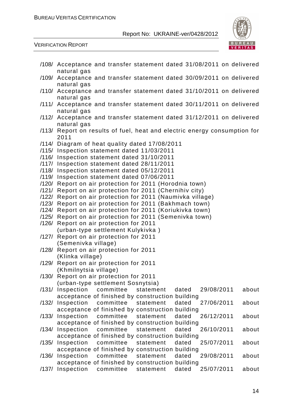

|       | /108/ Acceptance and transfer statement dated 31/08/2011 on delivered                         |
|-------|-----------------------------------------------------------------------------------------------|
|       | natural gas<br>/109/ Acceptance and transfer statement dated 30/09/2011 on delivered          |
|       | natural gas<br>/110/ Acceptance and transfer statement dated 31/10/2011 on delivered          |
|       | natural gas<br>/111/ Acceptance and transfer statement dated 30/11/2011 on delivered          |
|       | natural gas<br>/112/ Acceptance and transfer statement dated 31/12/2011 on delivered          |
|       | natural gas<br>/113/ Report on results of fuel, heat and electric energy consumption for      |
|       | 2011                                                                                          |
|       | /114/ Diagram of heat quality dated 17/08/2011<br>/115/ Inspection statement dated 11/03/2011 |
|       | /116/ Inspection statement dated 31/10/2011                                                   |
|       | /117/ Inspection statement dated 28/11/2011                                                   |
|       | /118/ Inspection statement dated 05/12/2011                                                   |
|       | /119/ Inspection statement dated 07/06/2011                                                   |
|       | /120/ Report on air protection for 2011 (Horodnia town)                                       |
|       | /121/ Report on air protection for 2011 (Chernihiv city)                                      |
|       | /122/ Report on air protection for 2011 (Naumivka village)                                    |
|       | /123/ Report on air protection for 2011 (Bakhmach town)                                       |
|       | /124/ Report on air protection for 2011 (Koriukivka town)                                     |
|       | /125/ Report on air protection for 2011 (Semenivka town)                                      |
|       | /126/ Report on air protection for 2011                                                       |
|       | (urban-type settlement Kulykivka)                                                             |
|       | /127/ Report on air protection for 2011                                                       |
|       | (Semenivka village)                                                                           |
|       | /128/ Report on air protection for 2011                                                       |
|       | (Klinka village)                                                                              |
| /129/ | Report on air protection for 2011                                                             |
|       | (Khmilnytsia village)                                                                         |
|       | /130/ Report on air protection for 2011<br>(urban-type settlement Sosnytsia)                  |
| /131/ | Inspection<br>committee<br>statement<br>dated<br>29/08/2011<br>about                          |
|       | acceptance of finished by construction building                                               |
|       | /132/ Inspection<br>dated<br>27/06/2011<br>committee<br>statement<br>about                    |
|       | acceptance of finished by construction building                                               |
|       | 26/12/2011<br>/133/ Inspection<br>committee<br>statement<br>dated<br>about                    |
|       | acceptance of finished by construction building                                               |
| /134/ | Inspection<br>committee<br>dated<br>26/10/2011<br>statement<br>about                          |
|       | acceptance of finished by construction building                                               |
|       | /135/ Inspection<br>committee<br>statement<br>dated<br>25/07/2011<br>about                    |
|       | acceptance of finished by construction building                                               |
| /136/ | Inspection<br>committee<br>statement<br>dated<br>29/08/2011<br>about                          |
|       | acceptance of finished by construction building                                               |
| /137/ | Inspection<br>25/07/2011<br>committee<br>dated<br>statement<br>about                          |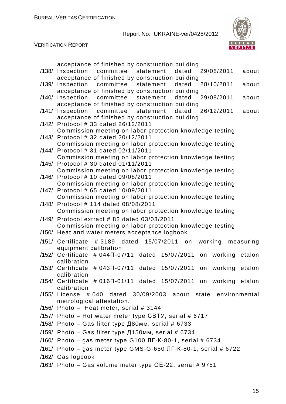

| acceptance of finished by construction building                                                                         |
|-------------------------------------------------------------------------------------------------------------------------|
| statement<br>29/08/2011<br>/138/ Inspection committee<br>dated<br>about                                                 |
| acceptance of finished by construction building<br>/139/ Inspection committee statement dated<br>28/10/2011<br>about    |
|                                                                                                                         |
| acceptance of finished by construction building<br>/140/ Inspection committee statement<br>dated<br>29/08/2011<br>about |
|                                                                                                                         |
| acceptance of finished by construction building<br>26/12/2011<br>/141/ Inspection committee statement dated<br>about    |
|                                                                                                                         |
| acceptance of finished by construction building<br>/142/ Protocol # 33 dated 26/12/2011                                 |
| Commission meeting on labor protection knowledge testing                                                                |
| /143/ Protocol # 32 dated 20/12/2011                                                                                    |
| Commission meeting on labor protection knowledge testing                                                                |
| /144/ Protocol # 31 dated 02/11/2011                                                                                    |
| Commission meeting on labor protection knowledge testing                                                                |
| /145/ Protocol # 30 dated 01/11/2011                                                                                    |
| Commission meeting on labor protection knowledge testing                                                                |
| /146/ Protocol # 10 dated 09/08/2011                                                                                    |
| Commission meeting on labor protection knowledge testing                                                                |
| /147/ Protocol # 65 dated 10/09/2011                                                                                    |
| Commission meeting on labor protection knowledge testing                                                                |
| /148/ Protocol # 114 dated 08/08/2011                                                                                   |
| Commission meeting on labor protection knowledge testing                                                                |
| /149/ Protocol extract # 82 dated 03/03/2011                                                                            |
| Commission meeting on labor protection knowledge testing                                                                |
| /150/ Heat and water meters acceptance logbook                                                                          |
|                                                                                                                         |
| # 3189 dated<br>15/07/2011 on<br>working<br>/151/ Certificate<br>measuring                                              |
| equipment calibration                                                                                                   |
| /152/ Certificate # 044 $\Pi$ -07/11 dated 15/07/2011<br>working etalon<br>on                                           |
| calibration<br>/153/ Certificate # 043N-07/11<br>15/07/2011<br>dated<br>working<br>etalon                               |
| on<br>calibration                                                                                                       |
| $/154/$ Certificate # 016 $\Pi$ -01/11 dated 15/07/2011 on working etalon                                               |
| calibration                                                                                                             |
| /155/ License # 040 dated 30/09/2003 about state environmental                                                          |
| metrological attestation.                                                                                               |
| $/156/$ Photo - Heat meter, serial # 3144                                                                               |
| /157/ Photo – Hot water meter type CBTY, serial # 6717                                                                  |
|                                                                                                                         |
| /158/ Photo – Gas filter type Д80мм, serial # 6733                                                                      |
| /159/ Photo – Gas filter type Д150мм, serial # 6734                                                                     |
| /160/ Photo – gas meter type G100 JIF-K-80-1, serial # 6734                                                             |
| /161/ Photo - gas meter type GMS-G-650 ЛГ-К-80-1, serial # 6722                                                         |
| /162/ Gas logbook                                                                                                       |
|                                                                                                                         |
| /163/ Photo - Gas volume meter type OE-22, serial # 9751                                                                |
|                                                                                                                         |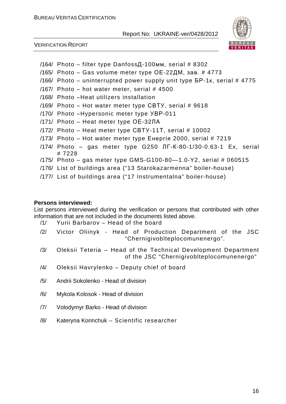

VERIFICATION REPORT

- /164/ Photo filter type DanfossД-100мм, serial # 8302
- /165/ Photo Gas volume meter type ОЕ-22ДМ, зав. # 4773
- $/166/$  Photo uninterrupted power supply unit type  $5P-1k$ , serial # 4775
- /167/ Photo hot water meter, serial  $#$  4500
- /168/ Photo –Heat utilizers installation
- /169/ Photo Hot water meter type СВТУ, serial # 9618
- /170/ Photo –Hypersonic meter type УВР-011
- /171/ Photo Heat meter type ОЕ-32ЛА
- /172/ Photo Heat meter type СВТУ-11Т, serial # 10002
- /173/ Photo Hot water meter type Енергія 2000, serial # 7219
- /174/ Photo gas meter type G250 ЛГ-К-80-1/30-0.63-1 Ex, serial # 7228
- /175/ Photo gas meter type GMS-G100-80—1.0-Y2, serial # 060515
- /176/ List of buildings area ("13 Starokazarmenna" boiler-house)
- /177/ List of buildings area ("17 Instrumentalna" boiler-house)

#### **Persons interviewed:**

List persons interviewed during the verification or persons that contributed with other information that are not included in the documents listed above.

- /1/ Yurii Barbarov Head of the board
- /2/ Victor Oliinyk Head of Production Department of the JSC "Chernigivoblteplocomunenergo".
- /3/ Oleksii Teteria Head of the Technical Development Department of the JSC "Chernigivoblteplocomunenergo"
- /4/ Oleksii Havrylenko Deputy chief of board
- /5/ Andrii Sokolenko Head of division
- /6/ Mykola Kolosok Head of division
- /7/ Volodymyr Barko Head of division
- /8/ Kateryna Korinchuk Scientific researcher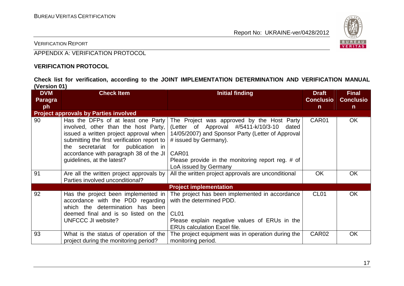

VERIFICATION REPORT

APPENDIX A: VERIFICATION PROTOCOL

#### **VERIFICATION PROTOCOL**

**Check list for verification, according to the JOINT IMPLEMENTATION DETERMINATION AND VERIFICATION MANUAL (Version 01)** 

| <b>DVM</b>     | <b>Check Item</b>                                                                                                                                                                                                                                                                 | Initial finding                                                                                                                                                                                                                                                           | <b>Draft</b><br><b>Conclusio</b> | <b>Final</b>     |
|----------------|-----------------------------------------------------------------------------------------------------------------------------------------------------------------------------------------------------------------------------------------------------------------------------------|---------------------------------------------------------------------------------------------------------------------------------------------------------------------------------------------------------------------------------------------------------------------------|----------------------------------|------------------|
| <b>Paragra</b> |                                                                                                                                                                                                                                                                                   |                                                                                                                                                                                                                                                                           |                                  | <b>Conclusio</b> |
| ph             |                                                                                                                                                                                                                                                                                   |                                                                                                                                                                                                                                                                           | $\mathsf{n}$                     | $\mathsf{n}$     |
|                | <b>Project approvals by Parties involved</b>                                                                                                                                                                                                                                      |                                                                                                                                                                                                                                                                           |                                  |                  |
| 90             | Has the DFPs of at least one Party<br>involved, other than the host Party,<br>issued a written project approval when<br>submitting the first verification report to<br>the secretariat for publication in<br>accordance with paragraph 38 of the JI<br>guidelines, at the latest? | The Project was approved by the Host Party<br>(Letter of Approval #/5411-k/10/3-10 dated<br>14/05/2007) and Sponsor Party (Letter of Approval<br># issued by Germany).<br>CAR <sub>01</sub><br>Please provide in the monitoring report reg. # of<br>LoA issued by Germany | CAR01                            | <b>OK</b>        |
| 91             | Are all the written project approvals by<br>Parties involved unconditional?                                                                                                                                                                                                       | All the written project approvals are unconditional                                                                                                                                                                                                                       | <b>OK</b>                        | <b>OK</b>        |
|                |                                                                                                                                                                                                                                                                                   | <b>Project implementation</b>                                                                                                                                                                                                                                             |                                  |                  |
| 92             | Has the project been implemented in<br>accordance with the PDD regarding<br>which the determination has been<br>deemed final and is so listed on the<br>UNFCCC JI website?                                                                                                        | The project has been implemented in accordance<br>with the determined PDD.<br>CL <sub>01</sub><br>Please explain negative values of ERUs in the<br><b>ERUs calculation Excel file.</b>                                                                                    | CL <sub>01</sub>                 | <b>OK</b>        |
| 93             | What is the status of operation of the<br>project during the monitoring period?                                                                                                                                                                                                   | The project equipment was in operation during the<br>monitoring period.                                                                                                                                                                                                   | CAR02                            | <b>OK</b>        |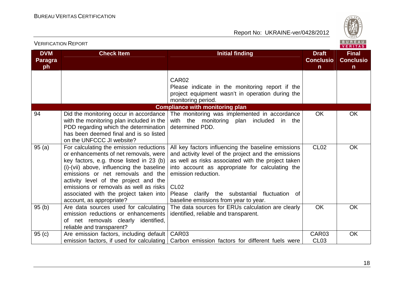

| <b>VERIFICATION REPORT</b>                              |                                                                                                                                                                                                                                                                                                                                                                         |                                                                                                                                                                                                                                                                                                                                                            |                      |                                                  |
|---------------------------------------------------------|-------------------------------------------------------------------------------------------------------------------------------------------------------------------------------------------------------------------------------------------------------------------------------------------------------------------------------------------------------------------------|------------------------------------------------------------------------------------------------------------------------------------------------------------------------------------------------------------------------------------------------------------------------------------------------------------------------------------------------------------|----------------------|--------------------------------------------------|
| <b>DVM</b><br><b>Check Item</b><br><b>Paragra</b><br>ph |                                                                                                                                                                                                                                                                                                                                                                         | <b>Initial finding</b><br><b>Draft</b><br><b>Conclusio</b><br>$\mathsf{n}$                                                                                                                                                                                                                                                                                 |                      | <b>Final</b><br><b>Conclusio</b><br>$\mathsf{n}$ |
|                                                         |                                                                                                                                                                                                                                                                                                                                                                         | CAR02<br>Please indicate in the monitoring report if the<br>project equipment wasn't in operation during the<br>monitoring period.                                                                                                                                                                                                                         |                      |                                                  |
| 94                                                      | Did the monitoring occur in accordance<br>with the monitoring plan included in the<br>PDD regarding which the determination<br>has been deemed final and is so listed<br>on the UNFCCC JI website?                                                                                                                                                                      | <b>Compliance with monitoring plan</b><br>The monitoring was implemented in accordance<br>with the monitoring plan included in the<br>determined PDD.                                                                                                                                                                                                      | <b>OK</b>            | <b>OK</b>                                        |
| 95(a)                                                   | For calculating the emission reductions<br>or enhancements of net removals, were<br>key factors, e.g. those listed in 23 (b)<br>(i)-(vii) above, influencing the baseline<br>emissions or net removals and the<br>activity level of the project and the<br>emissions or removals as well as risks<br>associated with the project taken into<br>account, as appropriate? | All key factors influencing the baseline emissions<br>and activity level of the project and the emissions<br>as well as risks associated with the project taken<br>into account as appropriate for calculating the<br>emission reduction.<br>CL <sub>02</sub><br>clarify the substantial fluctuation of<br>Please<br>baseline emissions from year to year. | <b>CL02</b>          | <b>OK</b>                                        |
| 95(b)                                                   | Are data sources used for calculating<br>emission reductions or enhancements<br>of net removals clearly identified,<br>reliable and transparent?                                                                                                                                                                                                                        | The data sources for ERUs calculation are clearly<br>identified, reliable and transparent.                                                                                                                                                                                                                                                                 | <b>OK</b>            | <b>OK</b>                                        |
| 95(c)                                                   | Are emission factors, including default<br>emission factors, if used for calculating                                                                                                                                                                                                                                                                                    | CAR03<br>Carbon emission factors for different fuels were                                                                                                                                                                                                                                                                                                  | CAR03<br><b>CL03</b> | <b>OK</b>                                        |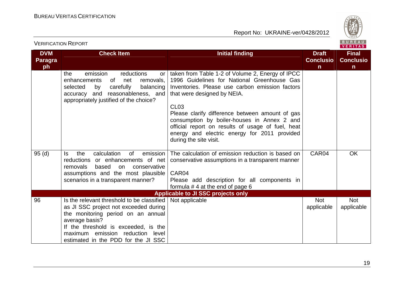

| <b>DVM</b><br><b>Paragra</b><br>ph | <b>Check Item</b>                                                                                                                                                                                                                                                               | <b>Initial finding</b>                                                                                                                                                                                                                                                                                                                                                                                                            | <b>Draft</b><br><b>Conclusio</b><br>$\mathsf{n}$ | <b>Final</b><br><b>Conclusio</b><br>$\mathsf{n}$ |
|------------------------------------|---------------------------------------------------------------------------------------------------------------------------------------------------------------------------------------------------------------------------------------------------------------------------------|-----------------------------------------------------------------------------------------------------------------------------------------------------------------------------------------------------------------------------------------------------------------------------------------------------------------------------------------------------------------------------------------------------------------------------------|--------------------------------------------------|--------------------------------------------------|
|                                    | emission<br>reductions<br>the<br>or<br>enhancements<br>of<br>net<br>removals,<br>selected<br>carefully<br>balancing<br>by<br>accuracy and reasonableness, and<br>appropriately justified of the choice?                                                                         | taken from Table 1-2 of Volume 2, Energy of IPCC<br>1996 Guidelines for National Greenhouse Gas<br>Inventories. Please use carbon emission factors<br>that were designed by NEIA.<br><b>CL03</b><br>Please clarify difference between amount of gas<br>consumption by boiler-houses in Annex 2 and<br>official report on results of usage of fuel, heat<br>energy and electric energy for 2011 provided<br>during the site visit. |                                                  |                                                  |
| 95 <sub>(d)</sub>                  | calculation<br>0f<br>emission<br>the<br>ls<br>reductions or enhancements of net<br>removals<br>based<br>conservative<br>on<br>assumptions and the most plausible<br>scenarios in a transparent manner?                                                                          | The calculation of emission reduction is based on<br>conservative assumptions in a transparent manner<br>CAR04<br>Please add description for all components in<br>formula $# 4$ at the end of page 6                                                                                                                                                                                                                              | CAR04                                            | <b>OK</b>                                        |
|                                    |                                                                                                                                                                                                                                                                                 | Applicable to JI SSC projects only                                                                                                                                                                                                                                                                                                                                                                                                |                                                  |                                                  |
| 96                                 | Is the relevant threshold to be classified   Not applicable<br>as JI SSC project not exceeded during<br>the monitoring period on an annual<br>average basis?<br>If the threshold is exceeded, is the<br>maximum emission reduction level<br>estimated in the PDD for the JI SSC |                                                                                                                                                                                                                                                                                                                                                                                                                                   | <b>Not</b><br>applicable                         | <b>Not</b><br>applicable                         |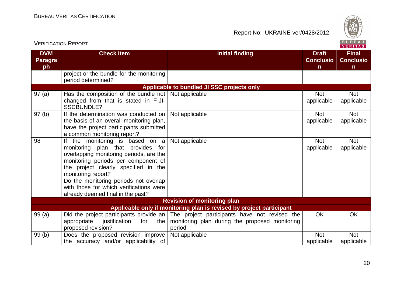

|                                    | <b>VERIFICATION REPORT</b>                                                                                                                                                                                                                                                                                                                      |                                                                                                                                                     | <u><u>POILEAU</u></u><br>VERITAS      |                                                  |  |
|------------------------------------|-------------------------------------------------------------------------------------------------------------------------------------------------------------------------------------------------------------------------------------------------------------------------------------------------------------------------------------------------|-----------------------------------------------------------------------------------------------------------------------------------------------------|---------------------------------------|--------------------------------------------------|--|
| <b>DVM</b><br><b>Paragra</b><br>ph | <b>Check Item</b>                                                                                                                                                                                                                                                                                                                               | <b>Initial finding</b>                                                                                                                              | <b>Draft</b><br><b>Conclusio</b><br>n | <b>Final</b><br><b>Conclusio</b><br>$\mathsf{n}$ |  |
|                                    | project or the bundle for the monitoring<br>period determined?                                                                                                                                                                                                                                                                                  |                                                                                                                                                     |                                       |                                                  |  |
|                                    |                                                                                                                                                                                                                                                                                                                                                 | Applicable to bundled JI SSC projects only                                                                                                          |                                       |                                                  |  |
| 97(a)                              | Has the composition of the bundle not $\vert$ Not applicable<br>changed from that is stated in F-JI-<br><b>SSCBUNDLE?</b>                                                                                                                                                                                                                       |                                                                                                                                                     | <b>Not</b><br>applicable              | Not<br>applicable                                |  |
| 97 <sub>(b)</sub>                  | If the determination was conducted on<br>the basis of an overall monitoring plan,<br>have the project participants submitted<br>a common monitoring report?                                                                                                                                                                                     | Not applicable                                                                                                                                      | <b>Not</b><br>applicable              | <b>Not</b><br>applicable                         |  |
| 98                                 | If the monitoring is based on $a$<br>monitoring plan that provides for<br>overlapping monitoring periods, are the<br>monitoring periods per component of<br>the project clearly specified in the<br>monitoring report?<br>Do the monitoring periods not overlap<br>with those for which verifications were<br>already deemed final in the past? | Not applicable                                                                                                                                      | <b>Not</b><br>applicable              | <b>Not</b><br>applicable                         |  |
|                                    |                                                                                                                                                                                                                                                                                                                                                 | <b>Revision of monitoring plan</b>                                                                                                                  |                                       |                                                  |  |
|                                    |                                                                                                                                                                                                                                                                                                                                                 | Applicable only if monitoring plan is revised by project participant                                                                                |                                       |                                                  |  |
| 99(a)                              | appropriate<br>justification<br>for<br>the I<br>proposed revision?                                                                                                                                                                                                                                                                              | Did the project participants provide an   The project participants have not revised the<br>monitoring plan during the proposed monitoring<br>period | <b>OK</b>                             | <b>OK</b>                                        |  |
| 99(b)                              | Does the proposed revision improve                                                                                                                                                                                                                                                                                                              | Not applicable                                                                                                                                      | <b>Not</b>                            | <b>Not</b>                                       |  |
|                                    | the accuracy and/or applicability of                                                                                                                                                                                                                                                                                                            |                                                                                                                                                     | applicable                            | applicable                                       |  |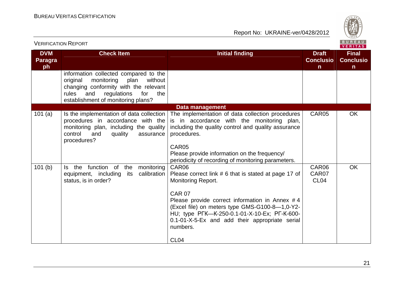

| <b>VERIFICATION REPORT</b>         |                                                                                                                                                                                                                |                                                                                                                                                                                                                                                                                                                               |                                                  | BUREAU<br><b>VERITAS</b>                         |
|------------------------------------|----------------------------------------------------------------------------------------------------------------------------------------------------------------------------------------------------------------|-------------------------------------------------------------------------------------------------------------------------------------------------------------------------------------------------------------------------------------------------------------------------------------------------------------------------------|--------------------------------------------------|--------------------------------------------------|
| <b>DVM</b><br><b>Paragra</b><br>ph | <b>Check Item</b>                                                                                                                                                                                              | <b>Initial finding</b>                                                                                                                                                                                                                                                                                                        | <b>Draft</b><br><b>Conclusio</b><br>$\mathsf{n}$ | <b>Final</b><br><b>Conclusio</b><br>$\mathsf{n}$ |
|                                    | information collected compared to the<br>monitoring<br>original<br>plan<br>without<br>changing conformity with the relevant<br>regulations<br>rules<br>and<br>for<br>the<br>establishment of monitoring plans? |                                                                                                                                                                                                                                                                                                                               |                                                  |                                                  |
|                                    |                                                                                                                                                                                                                | Data management                                                                                                                                                                                                                                                                                                               |                                                  |                                                  |
| 101 $(a)$                          | Is the implementation of data collection<br>procedures in accordance with the<br>monitoring plan, including the quality<br>control<br>and<br>quality<br>assurance<br>procedures?                               | The implementation of data collection procedures<br>is in accordance with the monitoring plan,<br>including the quality control and quality assurance<br>procedures.<br>CAR05<br>Please provide information on the frequency/                                                                                                 | CAR05                                            | <b>OK</b>                                        |
|                                    |                                                                                                                                                                                                                | periodicity of recording of monitoring parameters.                                                                                                                                                                                                                                                                            |                                                  |                                                  |
| 101(b)                             | Is the function of the<br>monitoring<br>calibration<br>equipment, including<br>its<br>status, is in order?                                                                                                     | CAR06<br>Please correct link # 6 that is stated at page 17 of<br><b>Monitoring Report.</b><br><b>CAR 07</b><br>Please provide correct information in Annex #4<br>(Excel file) on meters type GMS-G100-8-1,0-Y2-<br>HU; type PFK-K-250-0.1-01-X-10-Ex; PF-K-600-<br>0.1-01-X-5-Ex and add their appropriate serial<br>numbers. | CAR06<br>CAR07<br>CL <sub>04</sub>               | <b>OK</b>                                        |
|                                    |                                                                                                                                                                                                                | CL <sub>04</sub>                                                                                                                                                                                                                                                                                                              |                                                  |                                                  |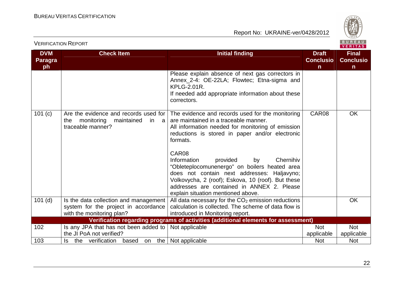

|                                    | VERITAS                                                                                                              |                                                                                                                                                                                                                                                                                                                                                                                                                                                                                                                |                                       |                                                  |  |
|------------------------------------|----------------------------------------------------------------------------------------------------------------------|----------------------------------------------------------------------------------------------------------------------------------------------------------------------------------------------------------------------------------------------------------------------------------------------------------------------------------------------------------------------------------------------------------------------------------------------------------------------------------------------------------------|---------------------------------------|--------------------------------------------------|--|
| <b>DVM</b><br><b>Paragra</b><br>ph | <b>Check Item</b>                                                                                                    | <b>Initial finding</b>                                                                                                                                                                                                                                                                                                                                                                                                                                                                                         | <b>Draft</b><br><b>Conclusio</b><br>n | <b>Final</b><br><b>Conclusio</b><br>$\mathsf{n}$ |  |
|                                    |                                                                                                                      | Please explain absence of next gas correctors in<br>Annex_2-4: OE-22LA; Flowtec; Etna-sigma and<br><b>KPLG-2.01R.</b><br>If needed add appropriate information about these<br>correctors.                                                                                                                                                                                                                                                                                                                      |                                       |                                                  |  |
| 101 $(c)$                          | Are the evidence and records used for<br>the<br>monitoring<br>maintained<br>in.<br><sub>a</sub><br>traceable manner? | The evidence and records used for the monitoring<br>are maintained in a traceable manner.<br>All information needed for monitoring of emission<br>reductions is stored in paper and/or electronic<br>formats.<br>CAR08<br>Information<br>provided<br>by<br>Chernihiv<br>"Obleteplocomunenergo" on boilers heated area<br>does not contain next addresses: Haljavyno;<br>Volkovycha, 2 (roof); Eskova, 10 (roof). But these<br>addresses are contained in ANNEX 2. Please<br>explain situation mentioned above. | CAR08                                 | <b>OK</b>                                        |  |
| $101$ (d)                          | Is the data collection and management<br>system for the project in accordance<br>with the monitoring plan?           | All data necessary for the $CO2$ emission reductions<br>calculation is collected. The scheme of data flow is<br>introduced in Monitoring report.                                                                                                                                                                                                                                                                                                                                                               |                                       | <b>OK</b>                                        |  |
|                                    |                                                                                                                      | Verification regarding programs of activities (additional elements for assessment)                                                                                                                                                                                                                                                                                                                                                                                                                             |                                       |                                                  |  |
| 102                                | Is any JPA that has not been added to $ $                                                                            | Not applicable                                                                                                                                                                                                                                                                                                                                                                                                                                                                                                 | <b>Not</b>                            | <b>Not</b>                                       |  |
|                                    | the JI PoA not verified?                                                                                             |                                                                                                                                                                                                                                                                                                                                                                                                                                                                                                                | applicable                            | applicable                                       |  |
| 103                                | the verification<br>the<br>based<br>ls<br>on                                                                         | Not applicable                                                                                                                                                                                                                                                                                                                                                                                                                                                                                                 | <b>Not</b>                            | <b>Not</b>                                       |  |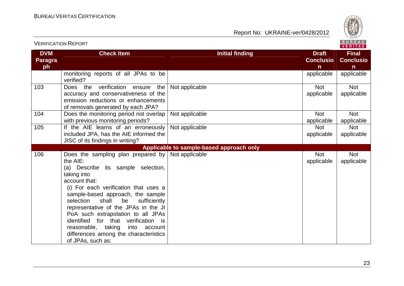

|                              |                                                                                                                                                                                                                                                                                                                                                                                                                                                                         |                                          |                                  | VERIIAS.                         |
|------------------------------|-------------------------------------------------------------------------------------------------------------------------------------------------------------------------------------------------------------------------------------------------------------------------------------------------------------------------------------------------------------------------------------------------------------------------------------------------------------------------|------------------------------------------|----------------------------------|----------------------------------|
| <b>DVM</b><br><b>Paragra</b> | <b>Check Item</b>                                                                                                                                                                                                                                                                                                                                                                                                                                                       | <b>Initial finding</b>                   | <b>Draft</b><br><b>Conclusio</b> | <b>Final</b><br><b>Conclusio</b> |
| ph                           |                                                                                                                                                                                                                                                                                                                                                                                                                                                                         |                                          | $\mathsf{n}$                     | $\mathsf{n}$                     |
|                              | monitoring reports of all JPAs to be<br>verified?                                                                                                                                                                                                                                                                                                                                                                                                                       |                                          | applicable                       | applicable                       |
| 103                          | Does the verification ensure<br>the<br>accuracy and conservativeness of the<br>emission reductions or enhancements<br>of removals generated by each JPA?                                                                                                                                                                                                                                                                                                                | Not applicable                           | <b>Not</b><br>applicable         | <b>Not</b><br>applicable         |
| 104                          | Does the monitoring period not overlap<br>with previous monitoring periods?                                                                                                                                                                                                                                                                                                                                                                                             | Not applicable                           | <b>Not</b><br>applicable         | <b>Not</b><br>applicable         |
| 105                          | If the AIE learns of an erroneously<br>included JPA, has the AIE informed the<br>JISC of its findings in writing?                                                                                                                                                                                                                                                                                                                                                       | Not applicable                           | <b>Not</b><br>applicable         | <b>Not</b><br>applicable         |
|                              |                                                                                                                                                                                                                                                                                                                                                                                                                                                                         | Applicable to sample-based approach only |                                  |                                  |
| 106                          | Does the sampling plan prepared by<br>the AIE:<br>(a) Describe its sample selection,<br>taking into<br>account that:<br>(i) For each verification that uses a<br>sample-based approach, the sample<br>selection<br>shall<br>be<br>sufficiently<br>representative of the JPAs in the JI<br>PoA such extrapolation to all JPAs<br>identified for that verification is<br>reasonable, taking<br>into account<br>differences among the characteristics<br>of JPAs, such as: | Not applicable                           | <b>Not</b><br>applicable         | <b>Not</b><br>applicable         |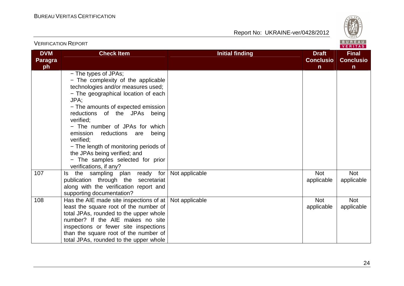

| <b>VERIFICATION REPORT</b>  |                                                                                                                                                                                                                                                                                                                                                                                                                                                                 |                        |                                                  |                                                  |
|-----------------------------|-----------------------------------------------------------------------------------------------------------------------------------------------------------------------------------------------------------------------------------------------------------------------------------------------------------------------------------------------------------------------------------------------------------------------------------------------------------------|------------------------|--------------------------------------------------|--------------------------------------------------|
| <b>DVM</b><br>Paragra<br>ph | <b>Check Item</b>                                                                                                                                                                                                                                                                                                                                                                                                                                               | <b>Initial finding</b> | <b>Draft</b><br><b>Conclusio</b><br>$\mathsf{n}$ | <b>Final</b><br><b>Conclusio</b><br>$\mathsf{n}$ |
|                             | - The types of JPAs;<br>- The complexity of the applicable<br>technologies and/or measures used;<br>- The geographical location of each<br>JPA;<br>- The amounts of expected emission<br>reductions of the JPAs being<br>verified;<br>- The number of JPAs for which<br>emission<br>reductions are<br>being<br>verified;<br>- The length of monitoring periods of<br>the JPAs being verified; and<br>- The samples selected for prior<br>verifications, if any? |                        |                                                  |                                                  |
| 107                         | the sampling plan ready for<br>ls.<br>publication through the secretariat<br>along with the verification report and<br>supporting documentation?                                                                                                                                                                                                                                                                                                                | Not applicable         | <b>Not</b><br>applicable                         | Not<br>applicable                                |
| 108                         | Has the AIE made site inspections of at<br>least the square root of the number of<br>total JPAs, rounded to the upper whole<br>number? If the AIE makes no site<br>inspections or fewer site inspections<br>than the square root of the number of<br>total JPAs, rounded to the upper whole                                                                                                                                                                     | Not applicable         | <b>Not</b><br>applicable                         | <b>Not</b><br>applicable                         |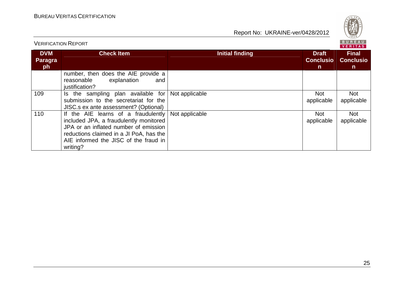

|                             |                                                                                                                                                                                                                                               |                 | V E K I I A S                                    |                                                  |
|-----------------------------|-----------------------------------------------------------------------------------------------------------------------------------------------------------------------------------------------------------------------------------------------|-----------------|--------------------------------------------------|--------------------------------------------------|
| <b>DVM</b><br>Paragra<br>ph | <b>Check Item</b>                                                                                                                                                                                                                             | Initial finding | <b>Draft</b><br><b>Conclusio</b><br>$\mathsf{n}$ | <b>Final</b><br><b>Conclusio</b><br>$\mathsf{n}$ |
|                             | number, then does the AIE provide a<br>explanation<br>reasonable<br>and<br>justification?                                                                                                                                                     |                 |                                                  |                                                  |
| 109                         | Is the sampling plan available for<br>submission to the secretariat for the<br>JISC.s ex ante assessment? (Optional)                                                                                                                          | Not applicable  | <b>Not</b><br>applicable                         | Not<br>applicable                                |
| 110                         | If the AIE learns of a fraudulently $\vert$ Not applicable<br>included JPA, a fraudulently monitored<br>JPA or an inflated number of emission<br>reductions claimed in a JI PoA, has the<br>AIE informed the JISC of the fraud in<br>writing? |                 | <b>Not</b><br>applicable                         | Not<br>applicable                                |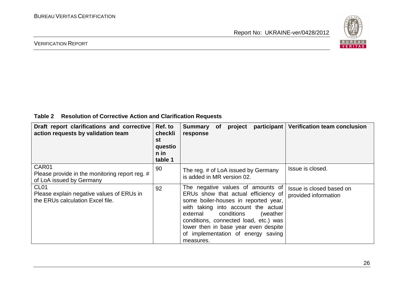

#### VERIFICATION REPORT

#### **Table 2 Resolution of Corrective Action and Clarification Requests**

| Draft report clarifications and corrective<br>action requests by validation team                  | Ref. to<br>checkli<br>st<br>questio<br>n in<br>table 1 | participant<br><b>Summary</b><br>project<br><b>of</b><br>response                                                                                                                                                                                                                                                               | <b>Verification team conclusion</b>              |
|---------------------------------------------------------------------------------------------------|--------------------------------------------------------|---------------------------------------------------------------------------------------------------------------------------------------------------------------------------------------------------------------------------------------------------------------------------------------------------------------------------------|--------------------------------------------------|
| CAR01<br>Please provide in the monitoring report reg. #<br>of LoA issued by Germany               | 90                                                     | The reg. # of LoA issued by Germany<br>is added in MR version 02.                                                                                                                                                                                                                                                               | Issue is closed.                                 |
| CL <sub>01</sub><br>Please explain negative values of ERUs in<br>the ERUs calculation Excel file. | 92                                                     | The negative values of amounts of<br>ERUs show that actual efficiency of<br>some boiler-houses in reported year,<br>with taking into account the actual<br>external conditions<br>(weather)<br>conditions, connected load, etc.) was<br>lower then in base year even despite<br>of implementation of energy saving<br>measures. | Issue is closed based on<br>provided information |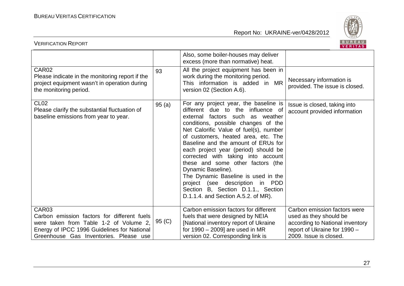

| <b>VERIFICATION REPORT</b>                                                                                                                                                              |        |                                                                                                                                                                                                                                                                                                                                                                                                                                                                                                                                                                                  | BUREAU<br>VERITAS                                                                                                                                   |
|-----------------------------------------------------------------------------------------------------------------------------------------------------------------------------------------|--------|----------------------------------------------------------------------------------------------------------------------------------------------------------------------------------------------------------------------------------------------------------------------------------------------------------------------------------------------------------------------------------------------------------------------------------------------------------------------------------------------------------------------------------------------------------------------------------|-----------------------------------------------------------------------------------------------------------------------------------------------------|
|                                                                                                                                                                                         |        | Also, some boiler-houses may deliver<br>excess (more than normative) heat.                                                                                                                                                                                                                                                                                                                                                                                                                                                                                                       |                                                                                                                                                     |
| CAR02<br>Please indicate in the monitoring report if the<br>project equipment wasn't in operation during<br>the monitoring period.                                                      | 93     | All the project equipment has been in<br>work during the monitoring period.<br>This information is added in MR<br>version 02 (Section A.6).                                                                                                                                                                                                                                                                                                                                                                                                                                      | Necessary information is<br>provided. The issue is closed.                                                                                          |
| CL <sub>02</sub><br>Please clarify the substantial fluctuation of<br>baseline emissions from year to year.                                                                              | 95(a)  | For any project year, the baseline is<br>different due to the influence of<br>external factors such<br>as weather<br>conditions, possible changes of the<br>Net Calorific Value of fuel(s), number<br>of customers, heated area, etc. The<br>Baseline and the amount of ERUs for<br>each project year (period) should be<br>corrected with taking into account<br>these and some other factors (the<br>Dynamic Baseline).<br>The Dynamic Baseline is used in the<br>project (see description in PDD<br>Section B, Section D.1.1., Section<br>D.1.1.4. and Section A.5.2. of MR). | Issue is closed, taking into<br>account provided information                                                                                        |
| CAR03<br>Carbon emission factors for different fuels<br>were taken from Table 1-2 of Volume 2,<br>Energy of IPCC 1996 Guidelines for National<br>Greenhouse Gas Inventories. Please use | 95 (C) | Carbon emission factors for different<br>fuels that were designed by NEIA<br>[National inventory report of Ukraine<br>for $1990 - 2009$ are used in MR<br>version 02. Corresponding link is                                                                                                                                                                                                                                                                                                                                                                                      | Carbon emission factors were<br>used as they should be<br>according to National inventory<br>report of Ukraine for 1990 -<br>2009. Issue is closed. |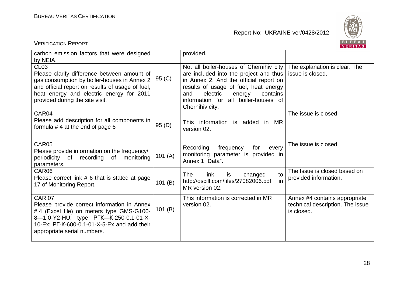

| <b>VERIFICATION REPORT</b>                                                                                                                                                                                                                   | BUREAU<br><b>VERITAS</b> |                                                                                                                                                                                                                                                                          |                                                                                 |
|----------------------------------------------------------------------------------------------------------------------------------------------------------------------------------------------------------------------------------------------|--------------------------|--------------------------------------------------------------------------------------------------------------------------------------------------------------------------------------------------------------------------------------------------------------------------|---------------------------------------------------------------------------------|
| carbon emission factors that were designed<br>by NEIA.                                                                                                                                                                                       |                          | provided.                                                                                                                                                                                                                                                                |                                                                                 |
| <b>CL03</b><br>Please clarify difference between amount of<br>gas consumption by boiler-houses in Annex 2<br>and official report on results of usage of fuel,<br>heat energy and electric energy for 2011<br>provided during the site visit. | 95 (C)                   | Not all boiler-houses of Chernihiv city<br>are included into the project and thus<br>in Annex 2. And the official report on<br>results of usage of fuel, heat energy<br>electric<br>contains<br>and<br>energy<br>information for all boiler-houses of<br>Chernihiv city. | The explanation is clear. The<br>issue is closed.                               |
| CAR04<br>Please add description for all components in<br>formula $# 4$ at the end of page 6                                                                                                                                                  | 95 (D)                   | This information is added in MR<br>version 02.                                                                                                                                                                                                                           | The issue is closed.                                                            |
| CAR05<br>Please provide information on the frequency/<br>periodicity<br>of<br>recording<br>of<br>monitoring<br>parameters.                                                                                                                   | 101 $(A)$                | Recording<br>frequency<br>for<br>every<br>monitoring parameter is provided in<br>Annex 1 "Data".                                                                                                                                                                         | The issue is closed.                                                            |
| CAR06<br>Please correct link # 6 that is stated at page<br>17 of Monitoring Report.                                                                                                                                                          | 101(B)                   | link<br>changed<br><b>The</b><br>to<br>is<br>in<br>http://oscill.com/files/27082006.pdf<br>MR version 02.                                                                                                                                                                | The Issue is closed based on<br>provided information.                           |
| <b>CAR 07</b><br>Please provide correct information in Annex<br>#4 (Excel file) on meters type GMS-G100-<br>8-1,0-Y2-HU; type PFK-K-250-0.1-01-X-<br>10-Ex; PF-K-600-0.1-01-X-5-Ex and add their<br>appropriate serial numbers.              | 101(B)                   | This information is corrected in MR<br>version 02.                                                                                                                                                                                                                       | Annex #4 contains appropriate<br>technical description. The issue<br>is closed. |

28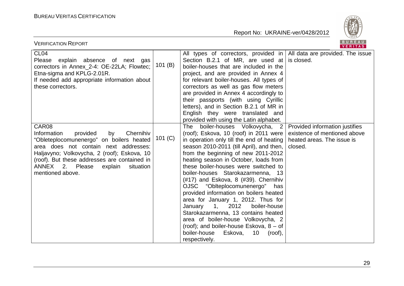

| <b>VERIFICATION REPORT</b>                                                                                                                                                                                                                                                                             |           |                                                                                                                                                                                                                                                                                                                                                                                                                                                                                                                                                                                                                                                                                                                                               | BUREAU<br><b>VERITAS</b>                                                                                |
|--------------------------------------------------------------------------------------------------------------------------------------------------------------------------------------------------------------------------------------------------------------------------------------------------------|-----------|-----------------------------------------------------------------------------------------------------------------------------------------------------------------------------------------------------------------------------------------------------------------------------------------------------------------------------------------------------------------------------------------------------------------------------------------------------------------------------------------------------------------------------------------------------------------------------------------------------------------------------------------------------------------------------------------------------------------------------------------------|---------------------------------------------------------------------------------------------------------|
| CL <sub>04</sub><br>Please explain absence of next gas<br>correctors in Annex_2-4: OE-22LA; Flowtec;<br>Etna-sigma and KPLG-2.01R.<br>If needed add appropriate information about<br>these correctors.                                                                                                 | 101 $(B)$ | All types of correctors, provided in $\vert$ All data are provided. The issue<br>Section B.2.1 of MR, are used at<br>boiler-houses that are included in the<br>project, and are provided in Annex 4<br>for relevant boiler-houses. All types of<br>correctors as well as gas flow meters<br>are provided in Annex 4 accordingly to<br>their passports (with using Cyrillic<br>letters), and in Section B.2.1 of MR in<br>English they were translated and<br>provided with using the Latin alphabet.                                                                                                                                                                                                                                          | is closed.                                                                                              |
| CAR08<br>Information<br>provided<br>by<br>Chernihiv<br>"Obleteplocomunenergo" on boilers heated<br>area does not contain next addresses:<br>Haljavyno; Volkovycha, 2 (roof); Eskova, 10<br>(roof). But these addresses are contained in<br>ANNEX 2. Please<br>explain<br>situation<br>mentioned above. | 101 $(C)$ | The boiler-houses Volkovycha, 2<br>(roof); Eskova, 10 (roof) in 2011 were<br>in operation only till the end of heating<br>season 2010-2011 (till April), and then,<br>from the beginning of new 2011-2012<br>heating season in October, loads from<br>these boiler-houses were switched to<br>boiler-houses Starokazarmenna, 13<br>$(\#17)$ and Eskova, 8 $(\#39)$ . Chernihiv<br>OJSC "Oblteplocomunenergo"<br>has<br>provided information on boilers heated<br>area for January 1, 2012. Thus for<br>January<br>1, 2012<br>boiler-house<br>Starokazarmenna, 13 contains heated<br>area of boiler-house Volkovycha, 2<br>(roof); and boiler-house Eskova, $8 - of$<br>boiler-house<br>Eskova,<br>10 <sup>°</sup><br>(root),<br>respectively. | Provided information justifies<br>existence of mentioned above<br>heated areas. The issue is<br>closed. |